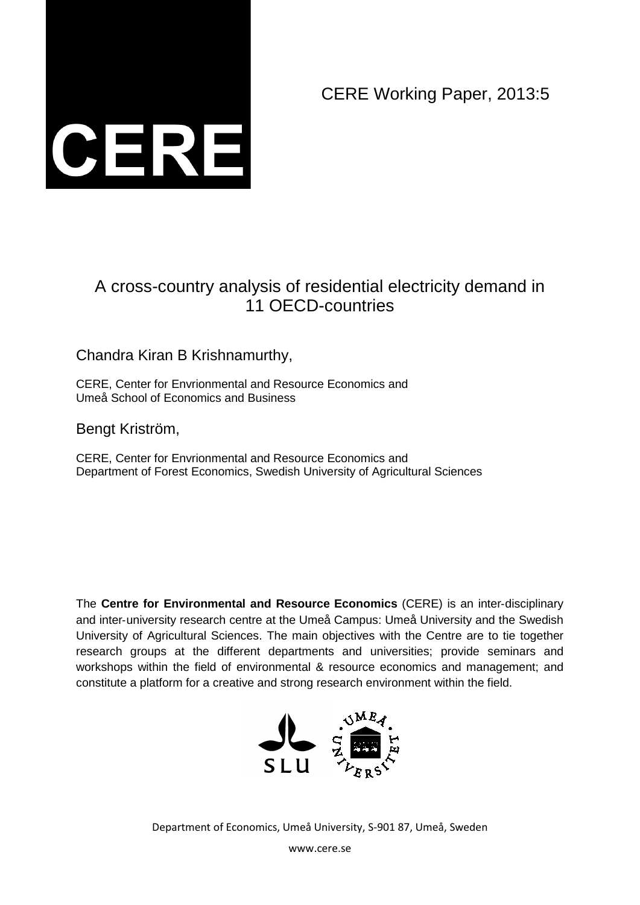CERE Working Paper, 2013:5



# A cross-country analysis of residential electricity demand in 11 OECD-countries

## Chandra Kiran B Krishnamurthy,

CERE, Center for Envrionmental and Resource Economics and Umeå School of Economics and Business

Bengt Kriström,

CERE, Center for Envrionmental and Resource Economics and Department of Forest Economics, Swedish University of Agricultural Sciences

The **Centre for Environmental and Resource Economics** (CERE) is an inter‐disciplinary and inter‐university research centre at the Umeå Campus: Umeå University and the Swedish University of Agricultural Sciences. The main objectives with the Centre are to tie together research groups at the different departments and universities; provide seminars and workshops within the field of environmental & resource economics and management; and constitute a platform for a creative and strong research environment within the field.



Department of Economics, Umeå University, S-901 87, Umeå, Sweden

www.cere.se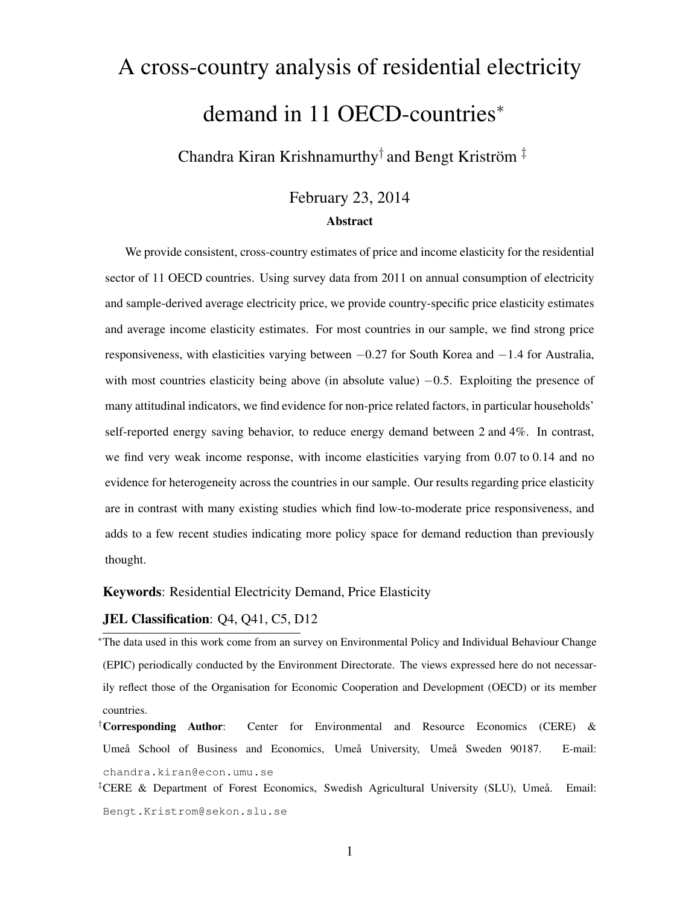# <span id="page-1-0"></span>A cross-country analysis of residential electricity demand in 11 OECD-countries<sup>\*</sup>

Chandra Kiran Krishnamurthy $^{\dagger}$  and Bengt Kriström  $^{\ddagger}$ 

### February 23, 2014 Abstract

We provide consistent, cross-country estimates of price and income elasticity for the residential sector of 11 OECD countries. Using survey data from 2011 on annual consumption of electricity and sample-derived average electricity price, we provide country-specific price elasticity estimates and average income elasticity estimates. For most countries in our sample, we find strong price responsiveness, with elasticities varying between −0.27 for South Korea and −1.4 for Australia, with most countries elasticity being above (in absolute value)  $-0.5$ . Exploiting the presence of many attitudinal indicators, we find evidence for non-price related factors, in particular households' self-reported energy saving behavior, to reduce energy demand between 2 and 4%. In contrast, we find very weak income response, with income elasticities varying from 0.07 to 0.14 and no evidence for heterogeneity across the countries in our sample. Our results regarding price elasticity are in contrast with many existing studies which find low-to-moderate price responsiveness, and adds to a few recent studies indicating more policy space for demand reduction than previously thought.

#### Keywords: Residential Electricity Demand, Price Elasticity

#### <span id="page-1-1"></span>JEL Classification: Q4, Q41, C5, D12

<sup>∗</sup>The data used in this work come from an survey on Environmental Policy and Individual Behaviour Change (EPIC) periodically conducted by the Environment Directorate. The views expressed here do not necessarily reflect those of the Organisation for Economic Cooperation and Development (OECD) or its member countries.

<sup>†</sup>Corresponding Author: Center for Environmental and Resource Economics (CERE)  $\&$ Umeå School of Business and Economics, Umeå University, Umeå Sweden 90187. E-mail: [chandra.kiran@econ.umu.se](mailto:chandra.kiran@econ.umu.se)

‡CERE & Department of Forest Economics, Swedish Agricultural University (SLU), Umeå. Email: [Bengt.Kristrom@sekon.slu.se](mailto:Bengt.Kristrom@sekon.slu.se)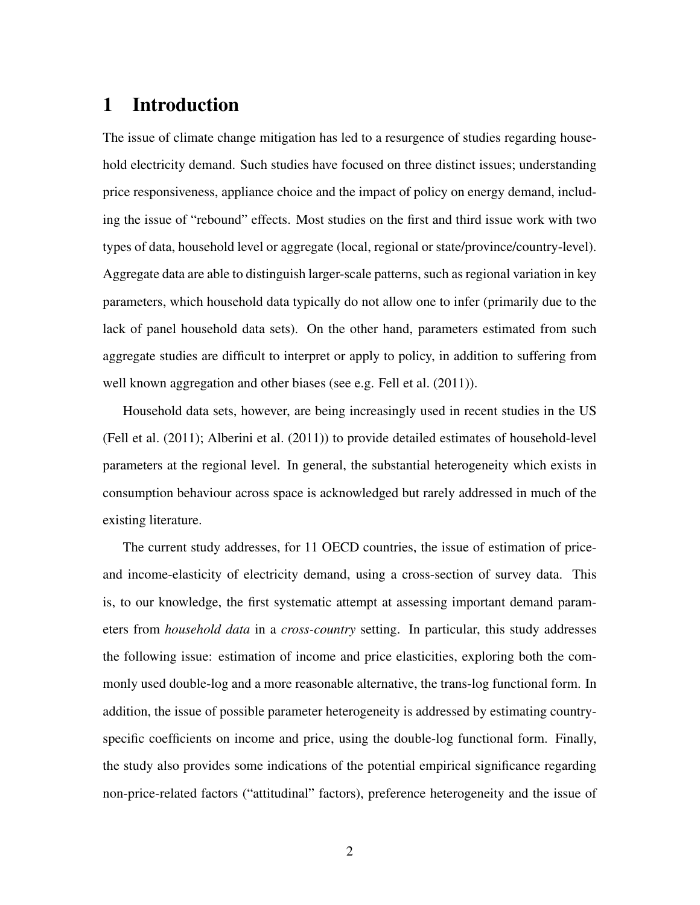# 1 Introduction

The issue of climate change mitigation has led to a resurgence of studies regarding household electricity demand. Such studies have focused on three distinct issues; understanding price responsiveness, appliance choice and the impact of policy on energy demand, including the issue of "rebound" effects. Most studies on the first and third issue work with two types of data, household level or aggregate (local, regional or state/province/country-level). Aggregate data are able to distinguish larger-scale patterns, such as regional variation in key parameters, which household data typically do not allow one to infer (primarily due to the lack of panel household data sets). On the other hand, parameters estimated from such aggregate studies are difficult to interpret or apply to policy, in addition to suffering from well known aggregation and other biases (see e.g. [Fell et al.](#page-36-0) [\(2011\)](#page-36-0)).

Household data sets, however, are being increasingly used in recent studies in the US [\(Fell et al.](#page-36-0) [\(2011\)](#page-36-0); [Alberini et al.](#page-35-0) [\(2011\)](#page-35-0)) to provide detailed estimates of household-level parameters at the regional level. In general, the substantial heterogeneity which exists in consumption behaviour across space is acknowledged but rarely addressed in much of the existing literature.

The current study addresses, for 11 OECD countries, the issue of estimation of priceand income-elasticity of electricity demand, using a cross-section of survey data. This is, to our knowledge, the first systematic attempt at assessing important demand parameters from *household data* in a *cross-country* setting. In particular, this study addresses the following issue: estimation of income and price elasticities, exploring both the commonly used double-log and a more reasonable alternative, the trans-log functional form. In addition, the issue of possible parameter heterogeneity is addressed by estimating countryspecific coefficients on income and price, using the double-log functional form. Finally, the study also provides some indications of the potential empirical significance regarding non-price-related factors ("attitudinal" factors), preference heterogeneity and the issue of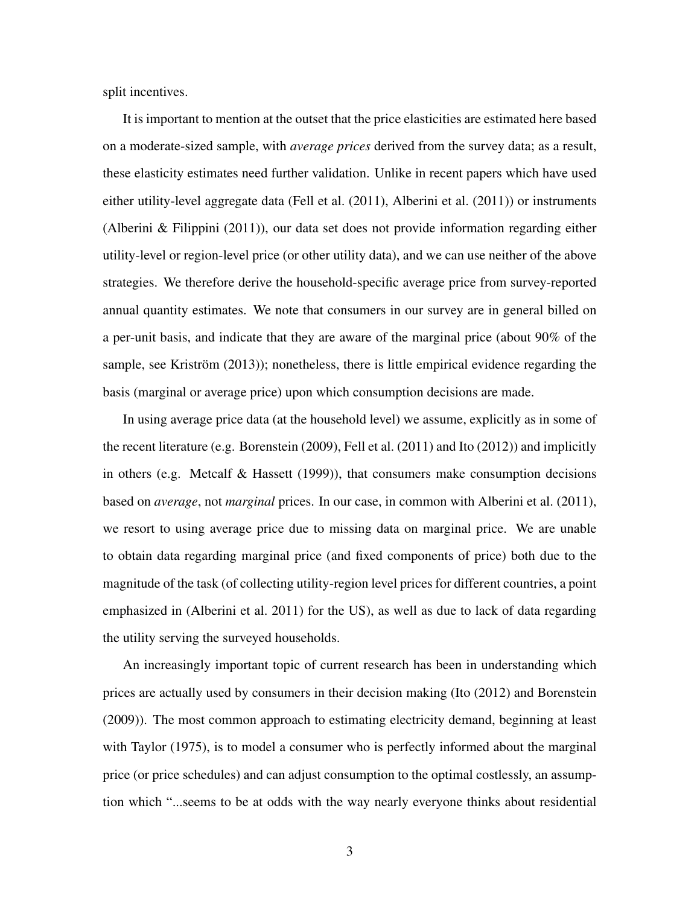split incentives.

It is important to mention at the outset that the price elasticities are estimated here based on a moderate-sized sample, with *average prices* derived from the survey data; as a result, these elasticity estimates need further validation. Unlike in recent papers which have used either utility-level aggregate data [\(Fell et al.](#page-36-0) [\(2011\)](#page-36-0), [Alberini et al.](#page-35-0) [\(2011\)](#page-35-0)) or instruments [\(Alberini & Filippini](#page-35-1) [\(2011\)](#page-35-1)), our data set does not provide information regarding either utility-level or region-level price (or other utility data), and we can use neither of the above strategies. We therefore derive the household-specific average price from survey-reported annual quantity estimates. We note that consumers in our survey are in general billed on a per-unit basis, and indicate that they are aware of the marginal price (about 90% of the sample, see [Kriström](#page-36-1) [\(2013\)](#page-36-1)); nonetheless, there is little empirical evidence regarding the basis (marginal or average price) upon which consumption decisions are made.

In using average price data (at the household level) we assume, explicitly as in some of the recent literature (e.g. [Borenstein](#page-35-2) [\(2009\)](#page-35-2), [Fell et al.](#page-36-0) [\(2011\)](#page-36-0) and [Ito](#page-36-2) [\(2012\)](#page-36-2)) and implicitly in others (e.g. [Metcalf & Hassett](#page-37-0) [\(1999\)](#page-37-0)), that consumers make consumption decisions based on *average*, not *marginal* prices. In our case, in common with [Alberini et al.](#page-35-0) [\(2011\)](#page-35-0), we resort to using average price due to missing data on marginal price. We are unable to obtain data regarding marginal price (and fixed components of price) both due to the magnitude of the task (of collecting utility-region level prices for different countries, a point emphasized in [\(Alberini et al. 2011\)](#page-35-0) for the US), as well as due to lack of data regarding the utility serving the surveyed households.

An increasingly important topic of current research has been in understanding which prices are actually used by consumers in their decision making [\(Ito](#page-36-2) [\(2012\)](#page-36-2) and [Borenstein](#page-35-2) [\(2009\)](#page-35-2)). The most common approach to estimating electricity demand, beginning at least with [Taylor](#page-37-1) [\(1975\)](#page-37-1), is to model a consumer who is perfectly informed about the marginal price (or price schedules) and can adjust consumption to the optimal costlessly, an assumption which "...seems to be at odds with the way nearly everyone thinks about residential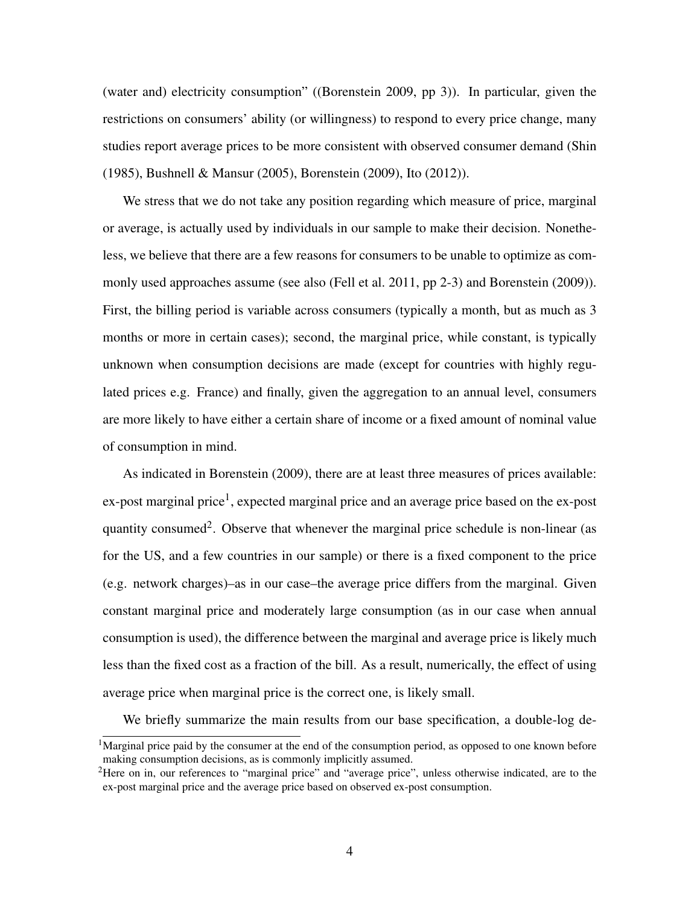(water and) electricity consumption" ([\(Borenstein 2009,](#page-35-2) pp 3)). In particular, given the restrictions on consumers' ability (or willingness) to respond to every price change, many studies report average prices to be more consistent with observed consumer demand [\(Shin](#page-37-2) [\(1985\)](#page-37-2), [Bushnell & Mansur](#page-35-3) [\(2005\)](#page-35-3), [Borenstein](#page-35-2) [\(2009\)](#page-35-2), [Ito](#page-36-2) [\(2012\)](#page-36-2)).

We stress that we do not take any position regarding which measure of price, marginal or average, is actually used by individuals in our sample to make their decision. Nonetheless, we believe that there are a few reasons for consumers to be unable to optimize as commonly used approaches assume (see also [\(Fell et al. 2011,](#page-36-0) pp 2-3) and [Borenstein](#page-35-2) [\(2009\)](#page-35-2)). First, the billing period is variable across consumers (typically a month, but as much as 3 months or more in certain cases); second, the marginal price, while constant, is typically unknown when consumption decisions are made (except for countries with highly regulated prices e.g. France) and finally, given the aggregation to an annual level, consumers are more likely to have either a certain share of income or a fixed amount of nominal value of consumption in mind.

As indicated in [Borenstein](#page-35-2) [\(2009\)](#page-35-2), there are at least three measures of prices available: ex-post marginal price<sup>[1](#page-1-0)</sup>, expected marginal price and an average price based on the ex-post quantity consumed<sup>[2](#page-1-0)</sup>. Observe that whenever the marginal price schedule is non-linear (as for the US, and a few countries in our sample) or there is a fixed component to the price (e.g. network charges)–as in our case–the average price differs from the marginal. Given constant marginal price and moderately large consumption (as in our case when annual consumption is used), the difference between the marginal and average price is likely much less than the fixed cost as a fraction of the bill. As a result, numerically, the effect of using average price when marginal price is the correct one, is likely small.

We briefly summarize the main results from our base specification, a double-log de-

<sup>&</sup>lt;sup>1</sup>Marginal price paid by the consumer at the end of the consumption period, as opposed to one known before making consumption decisions, as is commonly implicitly assumed.

<sup>&</sup>lt;sup>2</sup>Here on in, our references to "marginal price" and "average price", unless otherwise indicated, are to the ex-post marginal price and the average price based on observed ex-post consumption.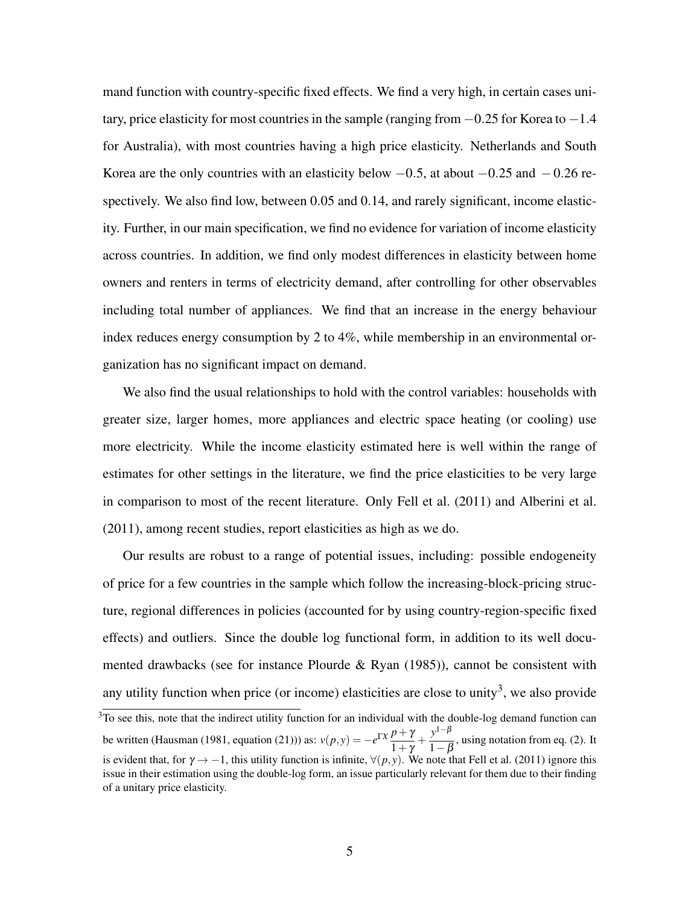mand function with country-specific fixed effects. We find a very high, in certain cases unitary, price elasticity for most countries in the sample (ranging from −0.25 for Korea to −1.4 for Australia), with most countries having a high price elasticity. Netherlands and South Korea are the only countries with an elasticity below  $-0.5$ , at about  $-0.25$  and  $-0.26$  respectively. We also find low, between 0.05 and 0.14, and rarely significant, income elasticity. Further, in our main specification, we find no evidence for variation of income elasticity across countries. In addition, we find only modest differences in elasticity between home owners and renters in terms of electricity demand, after controlling for other observables including total number of appliances. We find that an increase in the energy behaviour index reduces energy consumption by 2 to 4%, while membership in an environmental organization has no significant impact on demand.

We also find the usual relationships to hold with the control variables: households with greater size, larger homes, more appliances and electric space heating (or cooling) use more electricity. While the income elasticity estimated here is well within the range of estimates for other settings in the literature, we find the price elasticities to be very large in comparison to most of the recent literature. Only [Fell et al.](#page-36-0) [\(2011\)](#page-36-0) and [Alberini et al.](#page-35-0) [\(2011\)](#page-35-0), among recent studies, report elasticities as high as we do.

Our results are robust to a range of potential issues, including: possible endogeneity of price for a few countries in the sample which follow the increasing-block-pricing structure, regional differences in policies (accounted for by using country-region-specific fixed effects) and outliers. Since the double log functional form, in addition to its well documented drawbacks (see for instance Plourde  $\&$  Ryan [\(1985\)](#page-37-3)), cannot be consistent with any utility function when price (or income) elasticities are close to unity<sup>[3](#page-1-0)</sup>, we also provide

 $3$ To see this, note that the indirect utility function for an individual with the double-log demand function can be written [\(Hausman](#page-36-3) [\(1981,](#page-36-3) equation (21))) as:  $v(p, y) = -e^{\Gamma X} \frac{p + \gamma}{1 + \gamma}$  $\frac{p+\gamma}{1+\gamma} + \frac{y^{1-\beta}}{1-\beta}$  $\frac{f}{1-\beta}$ , using notation from eq. [\(2\)](#page-7-0). It is evident that, for  $\gamma \to -1$ , this utility function is infinite,  $\forall (p, y)$ . We note that [Fell et al.](#page-36-0) [\(2011\)](#page-36-0) ignore this issue in their estimation using the double-log form, an issue particularly relevant for them due to their finding of a unitary price elasticity.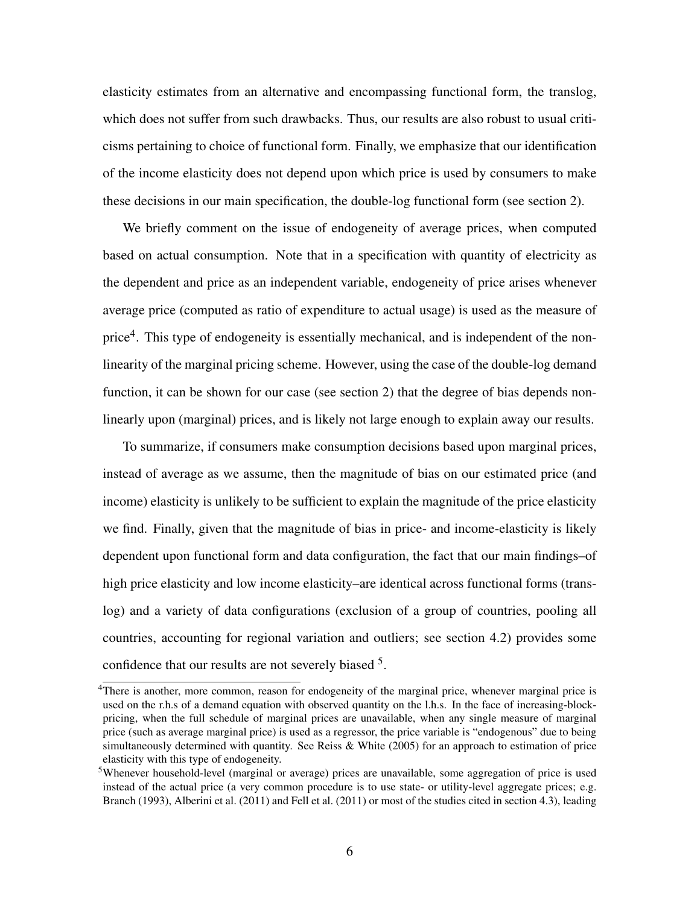elasticity estimates from an alternative and encompassing functional form, the translog, which does not suffer from such drawbacks. Thus, our results are also robust to usual criticisms pertaining to choice of functional form. Finally, we emphasize that our identification of the income elasticity does not depend upon which price is used by consumers to make these decisions in our main specification, the double-log functional form (see section [2\)](#page-7-1).

We briefly comment on the issue of endogeneity of average prices, when computed based on actual consumption. Note that in a specification with quantity of electricity as the dependent and price as an independent variable, endogeneity of price arises whenever average price (computed as ratio of expenditure to actual usage) is used as the measure of price<sup>[4](#page-1-0)</sup>. This type of endogeneity is essentially mechanical, and is independent of the nonlinearity of the marginal pricing scheme. However, using the case of the double-log demand function, it can be shown for our case (see section [2\)](#page-7-1) that the degree of bias depends nonlinearly upon (marginal) prices, and is likely not large enough to explain away our results.

To summarize, if consumers make consumption decisions based upon marginal prices, instead of average as we assume, then the magnitude of bias on our estimated price (and income) elasticity is unlikely to be sufficient to explain the magnitude of the price elasticity we find. Finally, given that the magnitude of bias in price- and income-elasticity is likely dependent upon functional form and data configuration, the fact that our main findings–of high price elasticity and low income elasticity–are identical across functional forms (translog) and a variety of data configurations (exclusion of a group of countries, pooling all countries, accounting for regional variation and outliers; see section [4.2\)](#page-25-0) provides some confidence that our results are not severely biased <sup>[5](#page-1-0)</sup>.

<sup>4</sup>There is another, more common, reason for endogeneity of the marginal price, whenever marginal price is used on the r.h.s of a demand equation with observed quantity on the l.h.s. In the face of increasing-blockpricing, when the full schedule of marginal prices are unavailable, when any single measure of marginal price (such as average marginal price) is used as a regressor, the price variable is "endogenous" due to being simultaneously determined with quantity. See [Reiss & White](#page-37-4) [\(2005\)](#page-37-4) for an approach to estimation of price elasticity with this type of endogeneity.

<sup>5</sup>Whenever household-level (marginal or average) prices are unavailable, some aggregation of price is used instead of the actual price (a very common procedure is to use state- or utility-level aggregate prices; e.g. [Branch](#page-35-4) [\(1993\)](#page-35-4), [Alberini et al.](#page-35-0) [\(2011\)](#page-35-0) and [Fell et al.](#page-36-0) [\(2011\)](#page-36-0) or most of the studies cited in section [4.3\)](#page-31-0), leading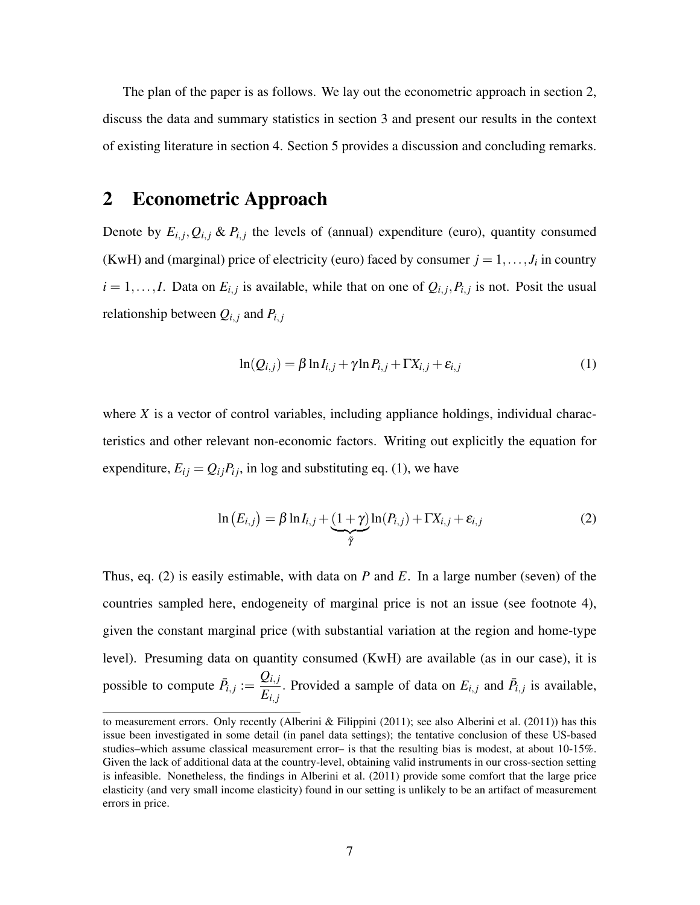The plan of the paper is as follows. We lay out the econometric approach in section [2,](#page-7-1) discuss the data and summary statistics in section [3](#page-13-0) and present our results in the context of existing literature in section [4.](#page-19-0) Section [5](#page-32-0) provides a discussion and concluding remarks.

# <span id="page-7-1"></span>2 Econometric Approach

Denote by  $E_{i,j}, Q_{i,j} \& P_{i,j}$  the levels of (annual) expenditure (euro), quantity consumed (KwH) and (marginal) price of electricity (euro) faced by consumer  $j = 1, \ldots, J_i$  in country  $i = 1, \ldots, I$ . Data on  $E_{i,j}$  is available, while that on one of  $Q_{i,j}, P_{i,j}$  is not. Posit the usual relationship between  $Q_{i,j}$  and  $P_{i,j}$ 

<span id="page-7-2"></span>
$$
\ln(Q_{i,j}) = \beta \ln I_{i,j} + \gamma \ln P_{i,j} + \Gamma X_{i,j} + \varepsilon_{i,j}
$$
\n(1)

where *X* is a vector of control variables, including appliance holdings, individual characteristics and other relevant non-economic factors. Writing out explicitly the equation for expenditure,  $E_{ij} = Q_{ij}P_{ij}$ , in log and substituting eq. [\(1\)](#page-7-2), we have

<span id="page-7-0"></span>
$$
\ln(E_{i,j}) = \beta \ln I_{i,j} + \underbrace{(1+\gamma)}_{\tilde{\gamma}} \ln(P_{i,j}) + \Gamma X_{i,j} + \varepsilon_{i,j}
$$
\n(2)

Thus, eq. [\(2\)](#page-7-0) is easily estimable, with data on *P* and *E*. In a large number (seven) of the countries sampled here, endogeneity of marginal price is not an issue (see footnote [4\)](#page-1-1), given the constant marginal price (with substantial variation at the region and home-type level). Presuming data on quantity consumed (KwH) are available (as in our case), it is possible to compute  $\bar{P}_{i,j} := \frac{Q_{i,j}}{F}$  $E_{i,j}$ . Provided a sample of data on  $E_{i,j}$  and  $\bar{P}_{i,j}$  is available,

to measurement errors. Only recently [\(Alberini & Filippini](#page-35-1) [\(2011\)](#page-35-0); see also [Alberini et al.](#page-35-0) (2011)) has this issue been investigated in some detail (in panel data settings); the tentative conclusion of these US-based studies–which assume classical measurement error– is that the resulting bias is modest, at about 10-15%. Given the lack of additional data at the country-level, obtaining valid instruments in our cross-section setting is infeasible. Nonetheless, the findings in [Alberini et al.](#page-35-0) [\(2011\)](#page-35-0) provide some comfort that the large price elasticity (and very small income elasticity) found in our setting is unlikely to be an artifact of measurement errors in price.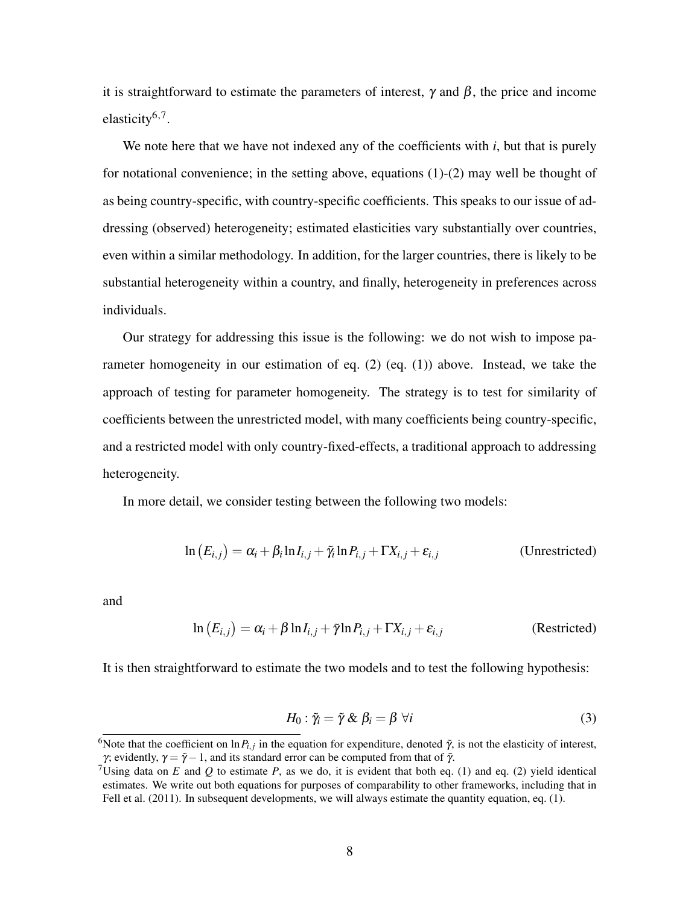it is straightforward to estimate the parameters of interest,  $\gamma$  and  $\beta$ , the price and income elasticity<sup>[6,7](#page-1-0)</sup>.

We note here that we have not indexed any of the coefficients with *i*, but that is purely for notational convenience; in the setting above, equations  $(1)-(2)$  $(1)-(2)$  $(1)-(2)$  may well be thought of as being country-specific, with country-specific coefficients. This speaks to our issue of addressing (observed) heterogeneity; estimated elasticities vary substantially over countries, even within a similar methodology. In addition, for the larger countries, there is likely to be substantial heterogeneity within a country, and finally, heterogeneity in preferences across individuals.

Our strategy for addressing this issue is the following: we do not wish to impose parameter homogeneity in our estimation of eq. [\(2\)](#page-7-0) (eq. [\(1\)](#page-7-2)) above. Instead, we take the approach of testing for parameter homogeneity. The strategy is to test for similarity of coefficients between the unrestricted model, with many coefficients being country-specific, and a restricted model with only country-fixed-effects, a traditional approach to addressing heterogeneity.

In more detail, we consider testing between the following two models:

<span id="page-8-0"></span>
$$
\ln(E_{i,j}) = \alpha_i + \beta_i \ln I_{i,j} + \tilde{\gamma}_i \ln P_{i,j} + \Gamma X_{i,j} + \varepsilon_{i,j}
$$
 (Unrestricted)

and

$$
\ln(E_{i,j}) = \alpha_i + \beta \ln I_{i,j} + \tilde{\gamma} \ln P_{i,j} + \Gamma X_{i,j} + \varepsilon_{i,j}
$$
 (Restricted)

It is then straightforward to estimate the two models and to test the following hypothesis:

$$
H_0: \tilde{\gamma}_i = \tilde{\gamma} \& \beta_i = \beta \ \forall i \tag{3}
$$

<sup>&</sup>lt;sup>6</sup>Note that the coefficient on  $\ln P_{i,j}$  in the equation for expenditure, denoted  $\tilde{\gamma}$ , is not the elasticity of interest, γ; evidently,  $\gamma = \tilde{\gamma} - 1$ , and its standard error can be computed from that of  $\tilde{\gamma}$ .

<sup>&</sup>lt;sup>7</sup>Using data on *E* and *Q* to estimate *P*, as we do, it is evident that both eq. [\(1\)](#page-7-2) and eq. [\(2\)](#page-7-0) yield identical estimates. We write out both equations for purposes of comparability to other frameworks, including that in [Fell et al.](#page-36-0) [\(2011\)](#page-36-0). In subsequent developments, we will always estimate the quantity equation, eq. [\(1\)](#page-7-2).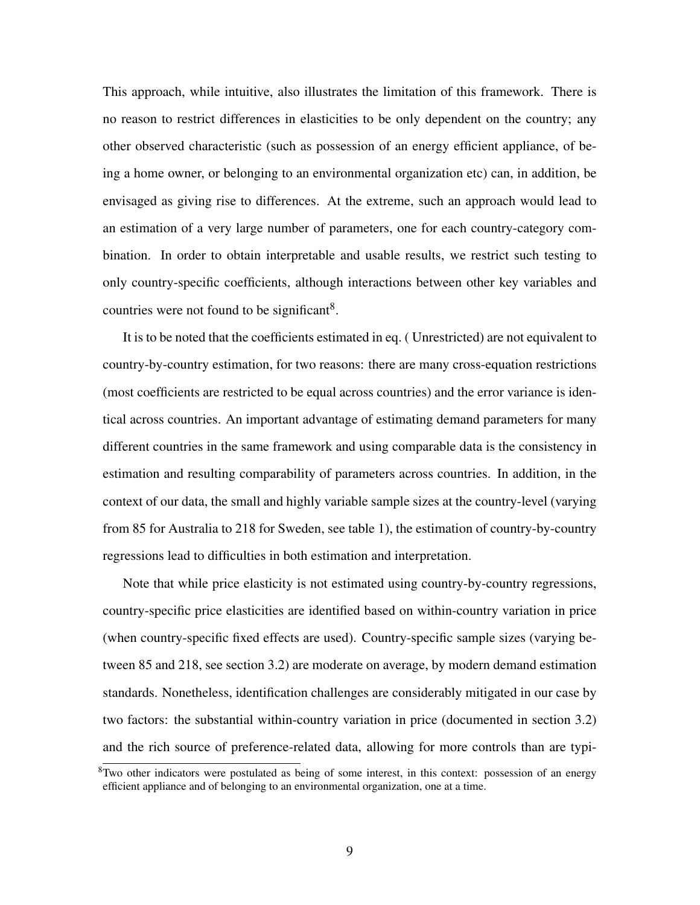This approach, while intuitive, also illustrates the limitation of this framework. There is no reason to restrict differences in elasticities to be only dependent on the country; any other observed characteristic (such as possession of an energy efficient appliance, of being a home owner, or belonging to an environmental organization etc) can, in addition, be envisaged as giving rise to differences. At the extreme, such an approach would lead to an estimation of a very large number of parameters, one for each country-category combination. In order to obtain interpretable and usable results, we restrict such testing to only country-specific coefficients, although interactions between other key variables and countries were not found to be significant<sup>[8](#page-1-0)</sup>.

<span id="page-9-0"></span>It is to be noted that the coefficients estimated in eq. [\( Unrestricted\)](#page-8-0) are not equivalent to country-by-country estimation, for two reasons: there are many cross-equation restrictions (most coefficients are restricted to be equal across countries) and the error variance is identical across countries. An important advantage of estimating demand parameters for many different countries in the same framework and using comparable data is the consistency in estimation and resulting comparability of parameters across countries. In addition, in the context of our data, the small and highly variable sample sizes at the country-level (varying from 85 for Australia to 218 for Sweden, see table [1\)](#page-15-0), the estimation of country-by-country regressions lead to difficulties in both estimation and interpretation.

Note that while price elasticity is not estimated using country-by-country regressions, country-specific price elasticities are identified based on within-country variation in price (when country-specific fixed effects are used). Country-specific sample sizes (varying between 85 and 218, see section [3.2\)](#page-14-0) are moderate on average, by modern demand estimation standards. Nonetheless, identification challenges are considerably mitigated in our case by two factors: the substantial within-country variation in price (documented in section [3.2\)](#page-14-0) and the rich source of preference-related data, allowing for more controls than are typi-

<sup>&</sup>lt;sup>8</sup>Two other indicators were postulated as being of some interest, in this context: possession of an energy efficient appliance and of belonging to an environmental organization, one at a time.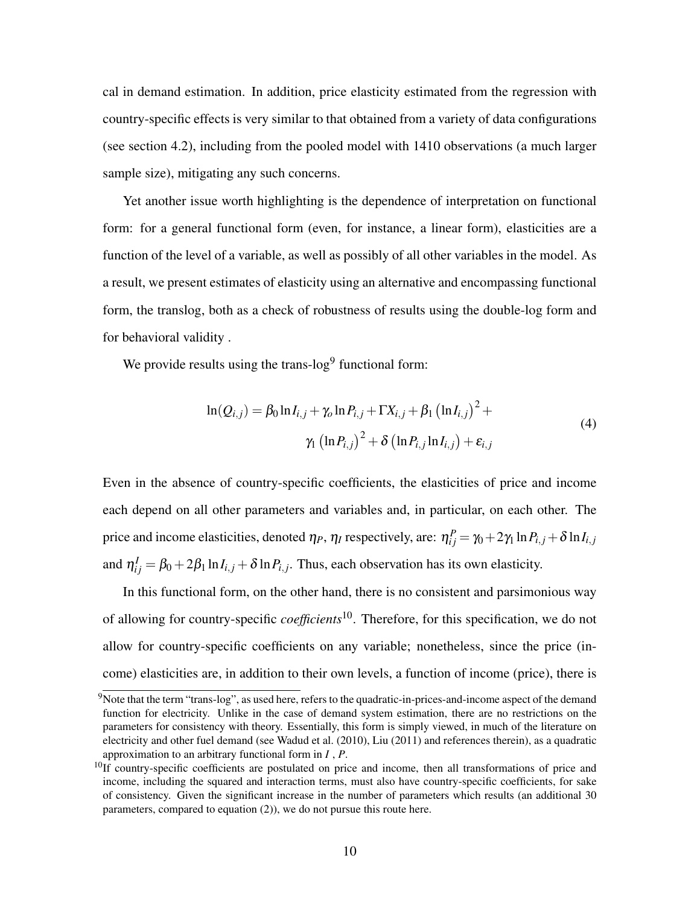cal in demand estimation. In addition, price elasticity estimated from the regression with country-specific effects is very similar to that obtained from a variety of data configurations (see section [4.2\)](#page-25-0), including from the pooled model with 1410 observations (a much larger sample size), mitigating any such concerns.

<span id="page-10-1"></span>Yet another issue worth highlighting is the dependence of interpretation on functional form: for a general functional form (even, for instance, a linear form), elasticities are a function of the level of a variable, as well as possibly of all other variables in the model. As a result, we present estimates of elasticity using an alternative and encompassing functional form, the translog, both as a check of robustness of results using the double-log form and for behavioral validity .

<span id="page-10-0"></span>We provide results using the trans- $log<sup>9</sup>$  $log<sup>9</sup>$  $log<sup>9</sup>$  functional form:

$$
\ln(Q_{i,j}) = \beta_0 \ln I_{i,j} + \gamma_0 \ln P_{i,j} + \Gamma X_{i,j} + \beta_1 \left(\ln I_{i,j}\right)^2 +
$$
  

$$
\gamma_1 \left(\ln P_{i,j}\right)^2 + \delta \left(\ln P_{i,j} \ln I_{i,j}\right) + \varepsilon_{i,j}
$$
 (4)

Even in the absence of country-specific coefficients, the elasticities of price and income each depend on all other parameters and variables and, in particular, on each other. The price and income elasticities, denoted  $\eta_P,\,\eta_I$  respectively, are:  $\eta^P_{ij}=\gamma_0+2\gamma_1\ln P_{i,j}+\delta\ln I_{i,j}$ and  $\eta_{ij}^I = \beta_0 + 2\beta_1 \ln I_{i,j} + \delta \ln P_{i,j}$ . Thus, each observation has its own elasticity.

In this functional form, on the other hand, there is no consistent and parsimonious way of allowing for country-specific *coefficients*[10](#page-1-0). Therefore, for this specification, we do not allow for country-specific coefficients on any variable; nonetheless, since the price (income) elasticities are, in addition to their own levels, a function of income (price), there is

<sup>&</sup>lt;sup>9</sup>Note that the term "trans-log", as used here, refers to the quadratic-in-prices-and-income aspect of the demand function for electricity. Unlike in the case of demand system estimation, there are no restrictions on the parameters for consistency with theory. Essentially, this form is simply viewed, in much of the literature on electricity and other fuel demand (see [Wadud et al.](#page-38-0) [\(2010\)](#page-38-0), [Liu](#page-37-5) [\(2011\)](#page-37-5) and references therein), as a quadratic approximation to an arbitrary functional form in *I* , *P*.

<sup>&</sup>lt;sup>10</sup>If country-specific coefficients are postulated on price and income, then all transformations of price and income, including the squared and interaction terms, must also have country-specific coefficients, for sake of consistency. Given the significant increase in the number of parameters which results (an additional 30 parameters, compared to equation [\(2\)](#page-7-0)), we do not pursue this route here.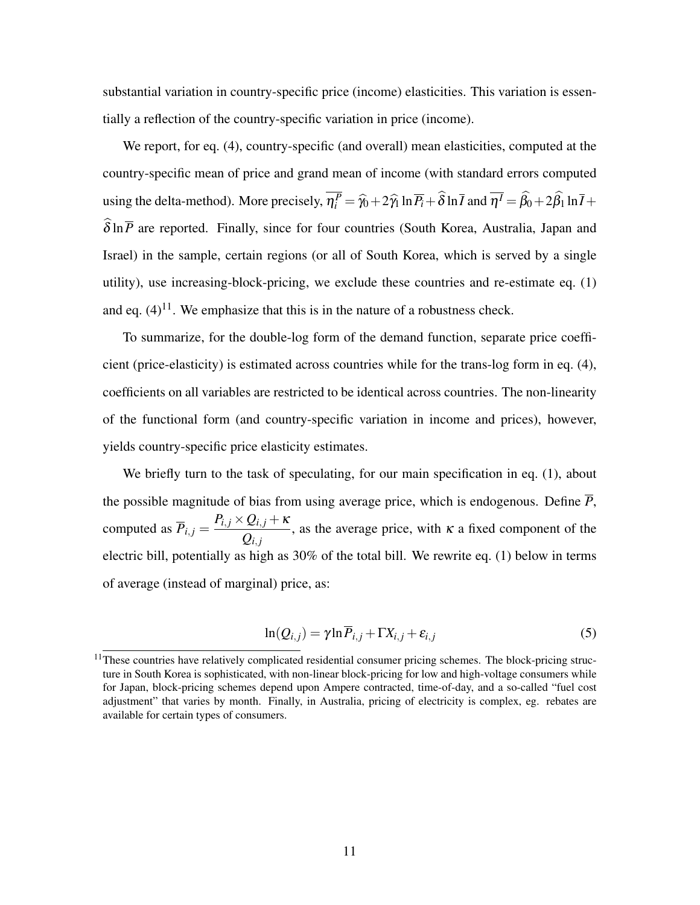substantial variation in country-specific price (income) elasticities. This variation is essentially a reflection of the country-specific variation in price (income).

We report, for eq. [\(4\)](#page-10-0), country-specific (and overall) mean elasticities, computed at the country-specific mean of price and grand mean of income (with standard errors computed using the delta-method). More precisely,  $\eta_i^P = \hat{\gamma}_0 + 2\hat{\gamma}_1 \ln \overline{P}_i + \hat{\delta} \ln \overline{I}$  and  $\overline{\eta'} = \hat{\beta}_0 + 2\hat{\beta}_1 \ln \overline{I} + \hat{\delta}$  $\widehat{\delta} \ln \overline{P}$  are reported. Finally, since for four countries (South Korea, Australia, Japan and Israel) in the sample, certain regions (or all of South Korea, which is served by a single utility), use increasing-block-pricing, we exclude these countries and re-estimate eq. [\(1\)](#page-7-2) and eq.  $(4)^{11}$  $(4)^{11}$  $(4)^{11}$  $(4)^{11}$ . We emphasize that this is in the nature of a robustness check.

To summarize, for the double-log form of the demand function, separate price coefficient (price-elasticity) is estimated across countries while for the trans-log form in eq. [\(4\)](#page-10-0), coefficients on all variables are restricted to be identical across countries. The non-linearity of the functional form (and country-specific variation in income and prices), however, yields country-specific price elasticity estimates.

We briefly turn to the task of speculating, for our main specification in eq. [\(1\)](#page-7-2), about the possible magnitude of bias from using average price, which is endogenous. Define  $\overline{P}$ , computed as  $\overline{P}_{i,j} =$  $P_{i,j} \times Q_{i,j} + \kappa$  $\frac{Q_{i,j}}{Q_{i,j}}$ , as the average price, with  $\kappa$  a fixed component of the electric bill, potentially as high as 30% of the total bill. We rewrite eq. [\(1\)](#page-7-2) below in terms of average (instead of marginal) price, as:

<span id="page-11-0"></span>
$$
\ln(Q_{i,j}) = \gamma \ln \overline{P}_{i,j} + \Gamma X_{i,j} + \varepsilon_{i,j}
$$
\n(5)

<sup>&</sup>lt;sup>11</sup>These countries have relatively complicated residential consumer pricing schemes. The block-pricing structure in South Korea is sophisticated, with non-linear block-pricing for low and high-voltage consumers while for Japan, block-pricing schemes depend upon Ampere contracted, time-of-day, and a so-called "fuel cost adjustment" that varies by month. Finally, in Australia, pricing of electricity is complex, eg. rebates are available for certain types of consumers.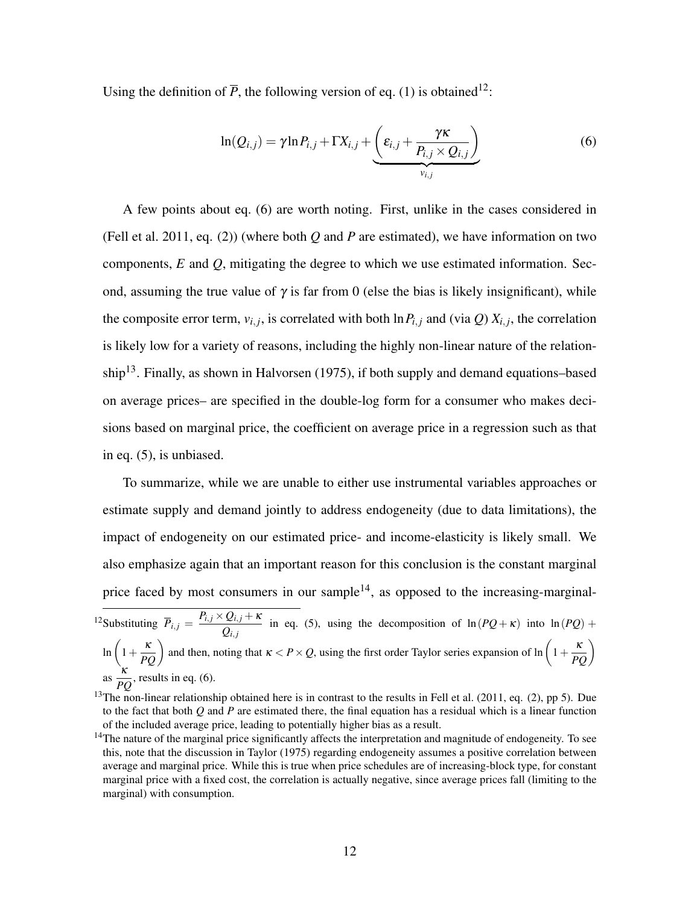Using the definition of  $\overline{P}$ , the following version of eq. [\(1\)](#page-7-2) is obtained<sup>[12](#page-1-0)</sup>:

<span id="page-12-0"></span>
$$
\ln(Q_{i,j}) = \gamma \ln P_{i,j} + \Gamma X_{i,j} + \underbrace{\left(\varepsilon_{i,j} + \frac{\gamma \kappa}{P_{i,j} \times Q_{i,j}}\right)}_{v_{i,j}}
$$
(6)

A few points about eq. [\(6\)](#page-12-0) are worth noting. First, unlike in the cases considered in [\(Fell et al. 2011,](#page-36-0) eq. (2)) (where both *Q* and *P* are estimated), we have information on two components, *E* and *Q*, mitigating the degree to which we use estimated information. Second, assuming the true value of  $\gamma$  is far from 0 (else the bias is likely insignificant), while the composite error term,  $v_{i,j}$ , is correlated with both  $\ln P_{i,j}$  and (via *Q*)  $X_{i,j}$ , the correlation is likely low for a variety of reasons, including the highly non-linear nature of the relation-ship<sup>[13](#page-1-0)</sup>. Finally, as shown in [Halvorsen](#page-36-4) [\(1975\)](#page-36-4), if both supply and demand equations–based on average prices– are specified in the double-log form for a consumer who makes decisions based on marginal price, the coefficient on average price in a regression such as that in eq. [\(5\)](#page-11-0), is unbiased.

To summarize, while we are unable to either use instrumental variables approaches or estimate supply and demand jointly to address endogeneity (due to data limitations), the impact of endogeneity on our estimated price- and income-elasticity is likely small. We also emphasize again that an important reason for this conclusion is the constant marginal price faced by most consumers in our sample<sup>[14](#page-1-0)</sup>, as opposed to the increasing-marginal-<sup>12</sup>Substituting  $\overline{P}_{i,j} = \frac{P_{i,j} \times Q_{i,j} + \kappa}{Q}$ 

 $Q_{i,j}$  in eq. [\(5\)](#page-11-0), using the decomposition of  $\ln(PQ+\kappa)$  into  $\ln(PQ)$  +  $\ln\left(1+\frac{\kappa}{PQ}\right)$  and then, noting that  $\kappa < P \times Q$ , using the first order Taylor series expansion of  $\ln\left(1+\frac{\kappa}{PQ}\right)$ as  $\frac{\kappa}{R}$  $\frac{1}{PQ}$ , results in eq. [\(6\)](#page-12-0).

 $13$ The non-linear relationship obtained here is in contrast to the results in [Fell et al.](#page-36-0) [\(2011,](#page-36-0) eq. (2), pp 5). Due to the fact that both *Q* and *P* are estimated there, the final equation has a residual which is a linear function of the included average price, leading to potentially higher bias as a result.

<sup>&</sup>lt;sup>14</sup>The nature of the marginal price significantly affects the interpretation and magnitude of endogeneity. To see this, note that the discussion in [Taylor](#page-37-1) [\(1975\)](#page-37-1) regarding endogeneity assumes a positive correlation between average and marginal price. While this is true when price schedules are of increasing-block type, for constant marginal price with a fixed cost, the correlation is actually negative, since average prices fall (limiting to the marginal) with consumption.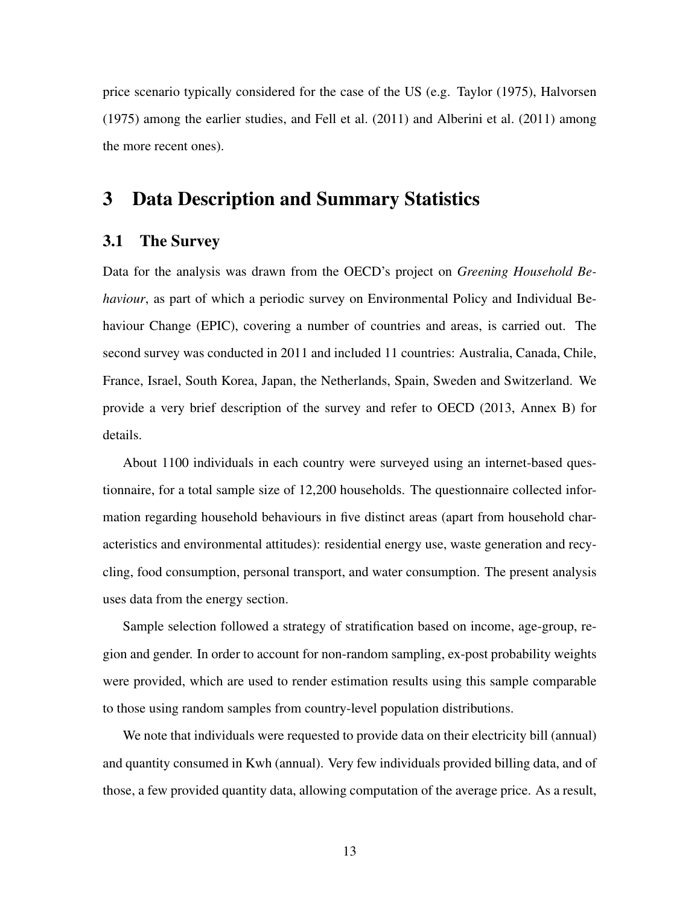price scenario typically considered for the case of the US (e.g. [Taylor](#page-37-1) [\(1975\)](#page-37-1), [Halvorsen](#page-36-4) [\(1975\)](#page-36-4) among the earlier studies, and [Fell et al.](#page-36-0) [\(2011\)](#page-36-0) and [Alberini et al.](#page-35-0) [\(2011\)](#page-35-0) among the more recent ones).

# <span id="page-13-0"></span>3 Data Description and Summary Statistics

#### 3.1 The Survey

Data for the analysis was drawn from the OECD's project on *Greening Household Behaviour*, as part of which a periodic survey on Environmental Policy and Individual Behaviour Change (EPIC), covering a number of countries and areas, is carried out. The second survey was conducted in 2011 and included 11 countries: Australia, Canada, Chile, France, Israel, South Korea, Japan, the Netherlands, Spain, Sweden and Switzerland. We provide a very brief description of the survey and refer to [OECD](#page-37-6) [\(2013,](#page-37-6) Annex B) for details.

About 1100 individuals in each country were surveyed using an internet-based questionnaire, for a total sample size of 12,200 households. The questionnaire collected information regarding household behaviours in five distinct areas (apart from household characteristics and environmental attitudes): residential energy use, waste generation and recycling, food consumption, personal transport, and water consumption. The present analysis uses data from the energy section.

Sample selection followed a strategy of stratification based on income, age-group, region and gender. In order to account for non-random sampling, ex-post probability weights were provided, which are used to render estimation results using this sample comparable to those using random samples from country-level population distributions.

We note that individuals were requested to provide data on their electricity bill (annual) and quantity consumed in Kwh (annual). Very few individuals provided billing data, and of those, a few provided quantity data, allowing computation of the average price. As a result,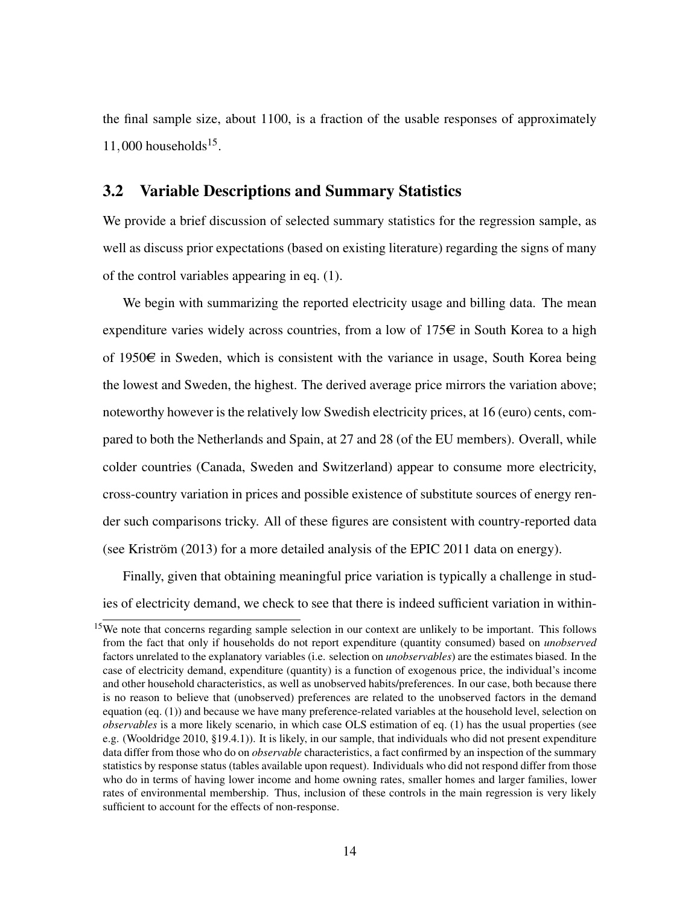the final sample size, about 1100, is a fraction of the usable responses of approximately  $11,000$  households<sup>[15](#page-1-0)</sup>.

#### <span id="page-14-0"></span>3.2 Variable Descriptions and Summary Statistics

We provide a brief discussion of selected summary statistics for the regression sample, as well as discuss prior expectations (based on existing literature) regarding the signs of many of the control variables appearing in eq. [\(1\)](#page-7-2).

We begin with summarizing the reported electricity usage and billing data. The mean expenditure varies widely across countries, from a low of  $175\epsilon$  in South Korea to a high of 1950 $\epsilon$  in Sweden, which is consistent with the variance in usage, South Korea being the lowest and Sweden, the highest. The derived average price mirrors the variation above; noteworthy however is the relatively low Swedish electricity prices, at 16 (euro) cents, compared to both the Netherlands and Spain, at 27 and 28 (of the EU members). Overall, while colder countries (Canada, Sweden and Switzerland) appear to consume more electricity, cross-country variation in prices and possible existence of substitute sources of energy render such comparisons tricky. All of these figures are consistent with country-reported data (see [Kriström](#page-36-1) [\(2013\)](#page-36-1) for a more detailed analysis of the EPIC 2011 data on energy).

Finally, given that obtaining meaningful price variation is typically a challenge in studies of electricity demand, we check to see that there is indeed sufficient variation in within-

<sup>&</sup>lt;sup>15</sup>We note that concerns regarding sample selection in our context are unlikely to be important. This follows from the fact that only if households do not report expenditure (quantity consumed) based on *unobserved* factors unrelated to the explanatory variables (i.e. selection on *unobservables*) are the estimates biased. In the case of electricity demand, expenditure (quantity) is a function of exogenous price, the individual's income and other household characteristics, as well as unobserved habits/preferences. In our case, both because there is no reason to believe that (unobserved) preferences are related to the unobserved factors in the demand equation (eq. [\(1\)](#page-7-2)) and because we have many preference-related variables at the household level, selection on *observables* is a more likely scenario, in which case OLS estimation of eq. [\(1\)](#page-7-2) has the usual properties (see e.g. [\(Wooldridge 2010,](#page-38-1) §19.4.1)). It is likely, in our sample, that individuals who did not present expenditure data differ from those who do on *observable* characteristics, a fact confirmed by an inspection of the summary statistics by response status (tables available upon request). Individuals who did not respond differ from those who do in terms of having lower income and home owning rates, smaller homes and larger families, lower rates of environmental membership. Thus, inclusion of these controls in the main regression is very likely sufficient to account for the effects of non-response.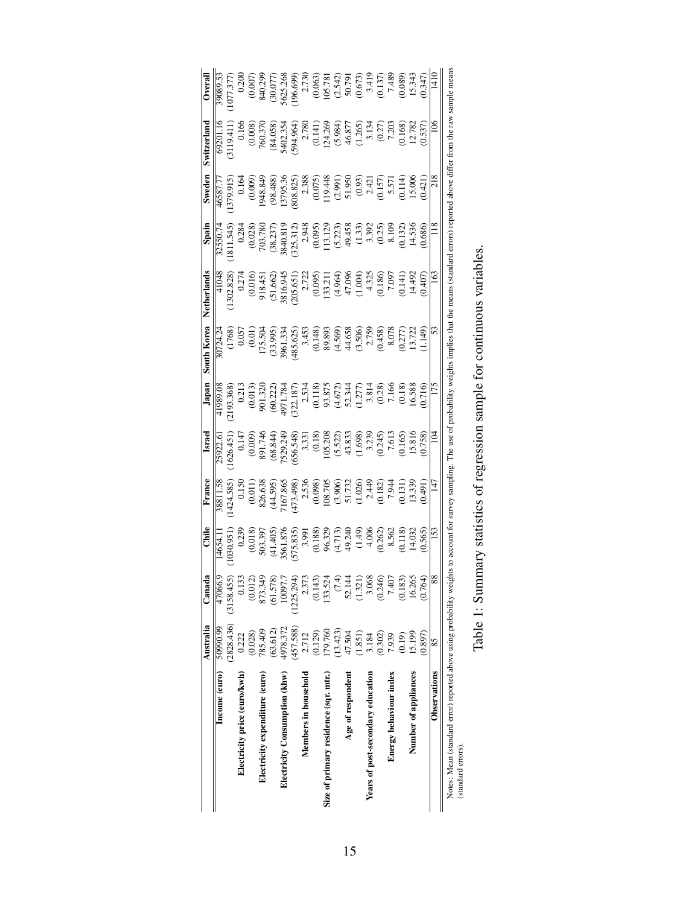<span id="page-15-0"></span>

|                                                                                         | Australia                 | Canada         | Chile                                   | France                                                     | Israel                     | Japan                                                                                       | South Korea                                               | Netherlands                                                                                                                                                  | Spain                                                                       | Sweden                         | Switzerland                                                | Overal                                                                                                                                                          |
|-----------------------------------------------------------------------------------------|---------------------------|----------------|-----------------------------------------|------------------------------------------------------------|----------------------------|---------------------------------------------------------------------------------------------|-----------------------------------------------------------|--------------------------------------------------------------------------------------------------------------------------------------------------------------|-----------------------------------------------------------------------------|--------------------------------|------------------------------------------------------------|-----------------------------------------------------------------------------------------------------------------------------------------------------------------|
| Income (euro)                                                                           | 50990.99                  | 47066.         | 14654.1                                 | 38811.58                                                   | 25922.6                    | 41989.08                                                                                    | $\frac{1}{20724.24}$                                      | 41048                                                                                                                                                        | 32550.74                                                                    | 46587.7                        | 69201.1                                                    | 39089.53                                                                                                                                                        |
|                                                                                         | $(2828.436)$ $(3158.455)$ |                | (1030.951)                              | 1424.585                                                   | 1626.451                   | 2193.368                                                                                    |                                                           | 1302.828                                                                                                                                                     | 1811.545                                                                    | 1379.915                       | 3119.411                                                   | 1077.377                                                                                                                                                        |
| Electricity price (euro/kwh)                                                            | 0.222                     | 0.13           | 0.239                                   |                                                            | 0.14                       | 0.213                                                                                       | $(1768)$<br>0.057<br>0.01)<br>0.01)<br>175.504            |                                                                                                                                                              | 0.284                                                                       | 0.164                          | 0.166                                                      | 0.200                                                                                                                                                           |
|                                                                                         | (0.028)                   | (0.012)        | (0.018)                                 | $\begin{array}{c} 0.150 \\ (0.011) \\ 826.638 \end{array}$ | (0.009)                    |                                                                                             |                                                           | $0.274$<br>$(0.016)$                                                                                                                                         |                                                                             | (0.009)                        |                                                            |                                                                                                                                                                 |
| Electricity expenditure (euro)                                                          | 785.409                   | 873.34         | 503.397                                 |                                                            | 891.746                    | $\frac{(0.013)}{901.320}$                                                                   |                                                           | 918.451                                                                                                                                                      | $(0.028)$<br>703.780                                                        | 948.849                        | $(0.008)$<br>760.370                                       | $(0.007)$<br>840.299                                                                                                                                            |
|                                                                                         | (63.612)                  | (61.578)       | (41.405)                                | (44.595)                                                   | (68.844)                   | (60.222)                                                                                    | (33.995)                                                  | (51.662)                                                                                                                                                     |                                                                             | (98.488)                       | (84.058)                                                   | (30.077)                                                                                                                                                        |
| Electricity Consumption (khw)                                                           | 4978.372                  | 10097.         | 3561.876                                | 7167.865<br>(473.498)                                      | 1529.249                   | 1971.78                                                                                     | \$961.33                                                  | 3816.945                                                                                                                                                     | (38.237)<br>3840.819                                                        | 3795.3                         | i402.35                                                    | 5625.268                                                                                                                                                        |
|                                                                                         | (457.588)                 | (1225.294      |                                         |                                                            | 656.548                    |                                                                                             | (485.625)                                                 |                                                                                                                                                              |                                                                             | 808.825                        | 594.964                                                    | 196.699)                                                                                                                                                        |
| Members in household                                                                    | 2.712                     | 2.37           | (575.835)<br>3.991<br>(0.188)<br>96.329 | 2.536                                                      |                            | $\begin{array}{c} (322.187) \\ 2.534 \\ (0.118) \\ 93.875 \\ (4.672) \\ 52.344 \end{array}$ | $\begin{array}{c} 3.453 \\ (0.148) \\ 89.893 \end{array}$ | $(205.651)$<br>$2.722$<br>$(0.095)$<br>$133.211$                                                                                                             | $(325.312)$<br>$2.948$<br>$(0.095)$<br>$113.129$<br>$(5.223)$<br>$(49.458)$ | $2.388$<br>(0.075)<br>119.448  |                                                            |                                                                                                                                                                 |
|                                                                                         | (0.129)                   | (0.143)        |                                         | $\frac{(0.098)}{108.705}$                                  | 3.331<br>(0.18)<br>105.208 |                                                                                             |                                                           |                                                                                                                                                              |                                                                             |                                | $\begin{array}{c} 2.780 \\ (0.141) \\ 124.269 \end{array}$ |                                                                                                                                                                 |
| Size of primary residence (sqr. mtr.)                                                   | 179.760                   | 133.524        |                                         |                                                            |                            |                                                                                             |                                                           |                                                                                                                                                              |                                                                             |                                |                                                            |                                                                                                                                                                 |
|                                                                                         | (13.423)                  | $\overline{C}$ | (4.713)                                 | (3.906)                                                    |                            |                                                                                             |                                                           |                                                                                                                                                              |                                                                             |                                | (5.984)                                                    |                                                                                                                                                                 |
| Age of respondent                                                                       | 47.504                    | 52.14          | 49.240                                  | 51.732                                                     | $(5.522)$<br>43.833        |                                                                                             | $(4.569)$<br>$44.658$                                     | $(4.964)$<br>47.096                                                                                                                                          |                                                                             | $(2.991)$<br>51.950            | 46.877                                                     |                                                                                                                                                                 |
|                                                                                         | (1.851)                   | (1.321)        | $(1.49)$<br>4.006                       | $(1.026)$<br>2.449                                         | (1.698)                    | (1.277)                                                                                     | $(3.506)$<br>$2.759$<br>$(0.458)$                         | (1.004)                                                                                                                                                      |                                                                             | $(0.93)$<br>$2.421$<br>$0.157$ | 1.265)                                                     | $\begin{array}{c} 2.730 \\ (0.065) \\ (0.05.781) \\ (0.542) \\ (0.673) \\ (0.673) \\ (0.673) \\ (0.137) \\ (0.137) \\ (0.089) \\ (0.089) \\ (1.543 \end{array}$ |
| Years of post-secondary education                                                       | 3.184                     | 3.06i          |                                         |                                                            | 3.239                      | 3.814                                                                                       |                                                           | 4.325                                                                                                                                                        |                                                                             |                                | 3.134                                                      |                                                                                                                                                                 |
|                                                                                         | (0.302)                   | (0.246)        | (0.262)                                 | (0.182)                                                    | (0.245)                    | $(0.28)$<br>7.166                                                                           |                                                           | (0.186)                                                                                                                                                      | 3382<br>3382<br>3.92                                                        |                                | $(0.27)$<br>7.203                                          |                                                                                                                                                                 |
| Energy behaviour index                                                                  | 7.939                     | 7.40           | 8.562                                   | 7.944                                                      | 7.613                      |                                                                                             | 8.078                                                     | 7.097                                                                                                                                                        |                                                                             | 5.571<br>0.114)                |                                                            |                                                                                                                                                                 |
|                                                                                         | (0.19)                    | (0.183)        | (0.118)                                 | $(0.131)$<br>13.339                                        | $\frac{(0.165)}{15.816}$   | (0.18)                                                                                      | 0.277                                                     | 0.141                                                                                                                                                        | 0.132)<br>14.536                                                            |                                | $\frac{0.168}{12.782}$                                     |                                                                                                                                                                 |
| Number of appliances                                                                    | 15.199                    | 16.26          | 14.032                                  |                                                            |                            | 16.588                                                                                      | 13.722                                                    | 14.492                                                                                                                                                       |                                                                             | 15.006                         |                                                            |                                                                                                                                                                 |
|                                                                                         | (0.897)                   | (0.764         | 0.565                                   | (16t)                                                      | (0.758)                    | 0.716                                                                                       | 1.149)                                                    | (0.407)                                                                                                                                                      | 0.686                                                                       | (124)                          | 0.537                                                      | 0.347                                                                                                                                                           |
| Observations                                                                            | 85                        |                | 153                                     | 147                                                        | $\overline{5}$             | 175                                                                                         | 53                                                        | 163                                                                                                                                                          |                                                                             | 218                            | $\widetilde{5}$                                            | 1410                                                                                                                                                            |
| Notes: Mean (standard error) reported above using probability weig<br>(standard errors) |                           |                |                                         |                                                            |                            |                                                                                             |                                                           | thts to account for survey sampling. The use of probability weights implies that the means (standard errors) reported above differ from the raw sample means |                                                                             |                                |                                                            |                                                                                                                                                                 |
|                                                                                         | $\frac{1}{1}$             |                |                                         |                                                            |                            |                                                                                             |                                                           |                                                                                                                                                              |                                                                             |                                |                                                            |                                                                                                                                                                 |

| CONTRACTOR CONTRACTOR CONTRACTOR CONTRACTOR CONTRACTOR CONTRACTOR CONTRACTO<br>į |
|----------------------------------------------------------------------------------|
|                                                                                  |
|                                                                                  |
|                                                                                  |
| :                                                                                |
| ١                                                                                |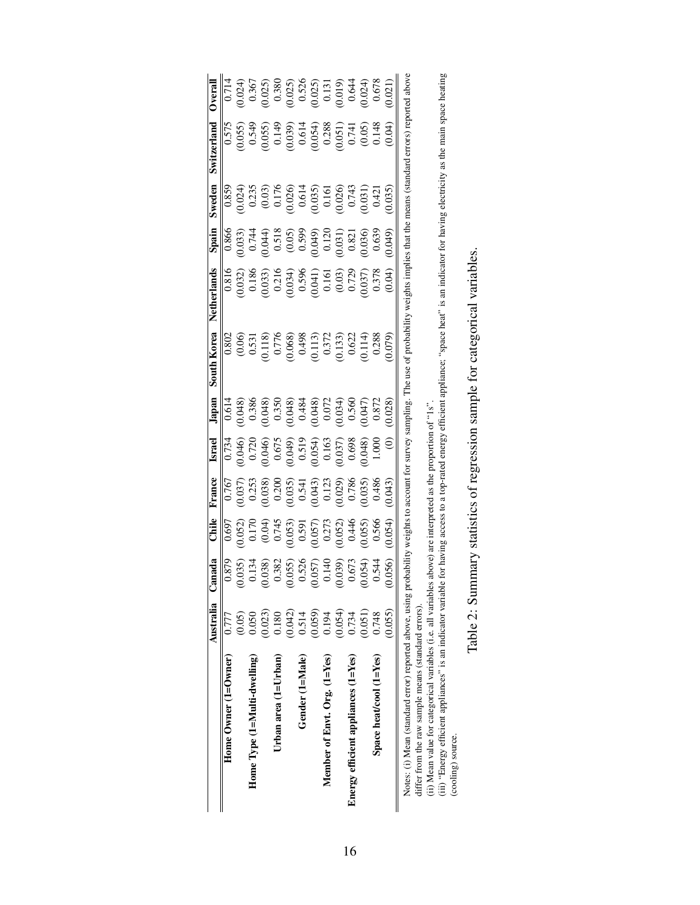<span id="page-16-0"></span>

|                                                                                                                                                                                    | Australia Canada |                  | Chile                                                                            | France                                                                        | <b>Israel</b>                                                                                              | Japan                                                                                                                                                                                                                                                            | South Korea                                                                                                                 | Netherlands                                                                                                                                                                                                                 | Spain                                                                                                                                       | Sweden                                                                                                                                | Switzerland                                                                                                                                                                 | <b>Dverall</b>                                                                                                                                                                                                                                                                             |
|------------------------------------------------------------------------------------------------------------------------------------------------------------------------------------|------------------|------------------|----------------------------------------------------------------------------------|-------------------------------------------------------------------------------|------------------------------------------------------------------------------------------------------------|------------------------------------------------------------------------------------------------------------------------------------------------------------------------------------------------------------------------------------------------------------------|-----------------------------------------------------------------------------------------------------------------------------|-----------------------------------------------------------------------------------------------------------------------------------------------------------------------------------------------------------------------------|---------------------------------------------------------------------------------------------------------------------------------------------|---------------------------------------------------------------------------------------------------------------------------------------|-----------------------------------------------------------------------------------------------------------------------------------------------------------------------------|--------------------------------------------------------------------------------------------------------------------------------------------------------------------------------------------------------------------------------------------------------------------------------------------|
| Home Owner (1=Owner)                                                                                                                                                               | 0.777            | 0.879            | 0.697                                                                            | 0.767                                                                         | 0.734                                                                                                      | 0.614                                                                                                                                                                                                                                                            | 0.802                                                                                                                       |                                                                                                                                                                                                                             |                                                                                                                                             | 0.859                                                                                                                                 | 0.575                                                                                                                                                                       | 0.714                                                                                                                                                                                                                                                                                      |
|                                                                                                                                                                                    | (0.05)           | (35)             | 0.052)                                                                           | 0.037                                                                         | 0.046                                                                                                      |                                                                                                                                                                                                                                                                  |                                                                                                                             |                                                                                                                                                                                                                             |                                                                                                                                             | 0.024                                                                                                                                 |                                                                                                                                                                             |                                                                                                                                                                                                                                                                                            |
| Home $Type(1=Nulti-dwelling)$                                                                                                                                                      | 0.050            | 0.134            |                                                                                  |                                                                               |                                                                                                            |                                                                                                                                                                                                                                                                  |                                                                                                                             |                                                                                                                                                                                                                             |                                                                                                                                             |                                                                                                                                       |                                                                                                                                                                             |                                                                                                                                                                                                                                                                                            |
|                                                                                                                                                                                    | 0.023)           | 0.382<br>S       |                                                                                  | $\frac{0.253}{0.038}$                                                         |                                                                                                            |                                                                                                                                                                                                                                                                  |                                                                                                                             |                                                                                                                                                                                                                             |                                                                                                                                             |                                                                                                                                       |                                                                                                                                                                             |                                                                                                                                                                                                                                                                                            |
| Urban area $(1=U$ rban)                                                                                                                                                            | 0.180            |                  |                                                                                  |                                                                               |                                                                                                            |                                                                                                                                                                                                                                                                  |                                                                                                                             |                                                                                                                                                                                                                             |                                                                                                                                             |                                                                                                                                       |                                                                                                                                                                             |                                                                                                                                                                                                                                                                                            |
|                                                                                                                                                                                    | (0.042)          | (055)<br>$\circ$ |                                                                                  |                                                                               |                                                                                                            |                                                                                                                                                                                                                                                                  |                                                                                                                             |                                                                                                                                                                                                                             |                                                                                                                                             |                                                                                                                                       |                                                                                                                                                                             |                                                                                                                                                                                                                                                                                            |
| Gender (1=Male)                                                                                                                                                                    | 0.514            |                  |                                                                                  |                                                                               |                                                                                                            |                                                                                                                                                                                                                                                                  |                                                                                                                             |                                                                                                                                                                                                                             |                                                                                                                                             |                                                                                                                                       |                                                                                                                                                                             |                                                                                                                                                                                                                                                                                            |
|                                                                                                                                                                                    | (0.059)          | 0.526<br>0.057)  | $(0.170$<br>$(0.04)$<br>$(0.745$<br>$0.53)$<br>$(0.57)$<br>$(0.57)$<br>$(0.273)$ | $\begin{array}{c} 0.200 \\ 0.035) \\ 0.541 \\ 0.043) \\ 0.123 \\ \end{array}$ | $\begin{array}{c} 0.720 \\ 0.046) \\ 0.675 \\ 0.649) \\ 0.519 \\ 0.519 \\ 0.054) \\ 0.054) \\ \end{array}$ | $\begin{array}{l} 0.048)\\ 0.386\\ 0.386\\ 0.048)\\ 0.048)\\ 0.048\\ 0.048\\ 0.048)\\ 0.0048)\\ 0.0048)\\ 0.0040\\ 0.0034)\\ 0.0034)\\ 0.0034)\\ 0.0034)\\ 0.0034)\\ 0.0034)\\ 0.0034)\\ 0.0034)\\ 0.0034)\\ 0.0034)\\ 0.0034)\\ 0.0034)\\ 0.0034)\\ 0.0034)\\ $ | $\begin{array}{c} (0.06) \\ 0.531 \\ 0.118) \\ 0.776 \\ 0.068) \\ 0.0498 \\ 0.113) \\ 0.372 \\ 0.033) \\ 0.022 \end{array}$ | $\begin{array}{l} 0.816 \\ 0.032) \\ 0.186 \\ 0.033) \\ 0.034) \\ 0.034) \\ 0.034) \\ 0.034) \\ 0.034) \\ 0.034) \\ 0.037) \\ 0.037 \\ 0.037 \\ 0.037 \\ 0.037 \\ 0.037 \\ 0.037 \\ 0.037 \\ 0.04) \\ 0.04) \\ \end{array}$ | $\begin{array}{c} 0.866\\ 0.033)\\ 0.744\\ 0.6044)\\ 0.606)\\ 0.605)\\ 0.059\\ 0.039\\ 0.030\\ 0.031)\\ 0.031)\\ 0.031)\\ 0.031\end{array}$ | $\begin{array}{l} 0.235 \\ (0.03) \\ 0.176 \\ 0.026) \\ 0.614 \\ 0.035) \\ 0.035) \\ 0.050 \\ 0.000 \\ 0.000 \\ 0.014 \\ \end{array}$ | $\begin{array}{l} (165) \\ 0.549 \\ 0.659 \\ 0.059 \\ 0.059 \\ 0.039 \\ 0.034 \\ 0.034 \\ 0.034 \\ 0.034 \\ 0.031 \\ 0.031 \\ 0.031 \\ 0.034 \\ 0.039 \\ 0.04) \end{array}$ | $\begin{array}{l} (0.024)\\ 0.367\\ 0.025)\\ (0.025)\\ (0.026)\\ (0.025)\\ (0.025)\\ (0.026)\\ (0.011)\\ (0.004)\\ (0.024)\\ (0.0024)\\ (0.003)\\ (0.004)\\ (0.0024)\\ (0.003)\\ (0.008)\\ (0.008)\\ (0.008)\\ (0.008)\\ (0.008)\\ (0.008)\\ (0.008)\\ (0.008)\\ (0.008)\\ (0.008)\\ (0.0$ |
| Member of Envt. Org. (1=Yes)                                                                                                                                                       | 0.194            | 0.140            |                                                                                  |                                                                               |                                                                                                            |                                                                                                                                                                                                                                                                  |                                                                                                                             |                                                                                                                                                                                                                             |                                                                                                                                             |                                                                                                                                       |                                                                                                                                                                             |                                                                                                                                                                                                                                                                                            |
|                                                                                                                                                                                    | 0.054)           | (650)<br>$\circ$ |                                                                                  |                                                                               | (0.037)                                                                                                    |                                                                                                                                                                                                                                                                  |                                                                                                                             |                                                                                                                                                                                                                             |                                                                                                                                             |                                                                                                                                       |                                                                                                                                                                             |                                                                                                                                                                                                                                                                                            |
| Energy efficient appliances (1=Yes)                                                                                                                                                | 0.734            | 0.673            | 0.446                                                                            | 0.786                                                                         | 0.698                                                                                                      |                                                                                                                                                                                                                                                                  |                                                                                                                             |                                                                                                                                                                                                                             |                                                                                                                                             |                                                                                                                                       |                                                                                                                                                                             |                                                                                                                                                                                                                                                                                            |
|                                                                                                                                                                                    | (0.051)          | (54)             | 0.055                                                                            | 0.035)                                                                        | 0.048)                                                                                                     | (140)                                                                                                                                                                                                                                                            | 0.114)                                                                                                                      |                                                                                                                                                                                                                             | 0.036)                                                                                                                                      | 0.031                                                                                                                                 |                                                                                                                                                                             |                                                                                                                                                                                                                                                                                            |
| Space heat/cool (1=Yes)                                                                                                                                                            | 0.748            | 0.544            | 0.566                                                                            | 0.486                                                                         | 000.1                                                                                                      | 0.872                                                                                                                                                                                                                                                            | 0.288                                                                                                                       |                                                                                                                                                                                                                             | 0.639                                                                                                                                       | 0.421                                                                                                                                 |                                                                                                                                                                             |                                                                                                                                                                                                                                                                                            |
|                                                                                                                                                                                    | 0.055            | 056)<br>$\in$    | 0.054                                                                            | 0.043                                                                         |                                                                                                            | 0.028                                                                                                                                                                                                                                                            | (6L)                                                                                                                        |                                                                                                                                                                                                                             | 0.049                                                                                                                                       | 0.035                                                                                                                                 |                                                                                                                                                                             | 0.021)                                                                                                                                                                                                                                                                                     |
| Notes: (i) Mean (standard error) reported above, using pro<br>(ii) Mean value for categorical variables (i.e. all variables<br>differ from the raw sample means (standard errors). |                  |                  |                                                                                  |                                                                               | obability weights to account for survey sampling.<br>above) are interpreted as the proportion of "1s"      |                                                                                                                                                                                                                                                                  |                                                                                                                             | The use of probability weights implies that the means (standard errors) reported above                                                                                                                                      |                                                                                                                                             |                                                                                                                                       |                                                                                                                                                                             |                                                                                                                                                                                                                                                                                            |
| (iii) "Energy efficient appliances" is an indicator variable<br>(cooling) source.                                                                                                  |                  |                  |                                                                                  |                                                                               |                                                                                                            |                                                                                                                                                                                                                                                                  |                                                                                                                             | for having access to a top-rated energy efficient appliance; "space heat" is an indicator for having electricity as the main space heating                                                                                  |                                                                                                                                             |                                                                                                                                       |                                                                                                                                                                             |                                                                                                                                                                                                                                                                                            |

| $\Gamma$ and $\Gamma$ . Then $\Gamma$ and $\Gamma$ and $\Gamma$ and $\Gamma$ and $\Gamma$ and $\Gamma$ and $\Gamma$ and $\Gamma$ and $\Gamma$ and $\Gamma$ and $\Gamma$ and $\Gamma$ and $\Gamma$ and $\Gamma$ and $\Gamma$ and $\Gamma$ and $\Gamma$ and $\Gamma$ and $\Gamma$ and $\Gamma$ and $\Gamma$ and $\Gamma$ and $\$<br>A cacher in<br>١ |
|----------------------------------------------------------------------------------------------------------------------------------------------------------------------------------------------------------------------------------------------------------------------------------------------------------------------------------------------------|
|                                                                                                                                                                                                                                                                                                                                                    |
| 1                                                                                                                                                                                                                                                                                                                                                  |
| ١                                                                                                                                                                                                                                                                                                                                                  |
|                                                                                                                                                                                                                                                                                                                                                    |
|                                                                                                                                                                                                                                                                                                                                                    |
| $2.42$ . Definition is a set of $\sim$                                                                                                                                                                                                                                                                                                             |
| ;<br>.<br>[                                                                                                                                                                                                                                                                                                                                        |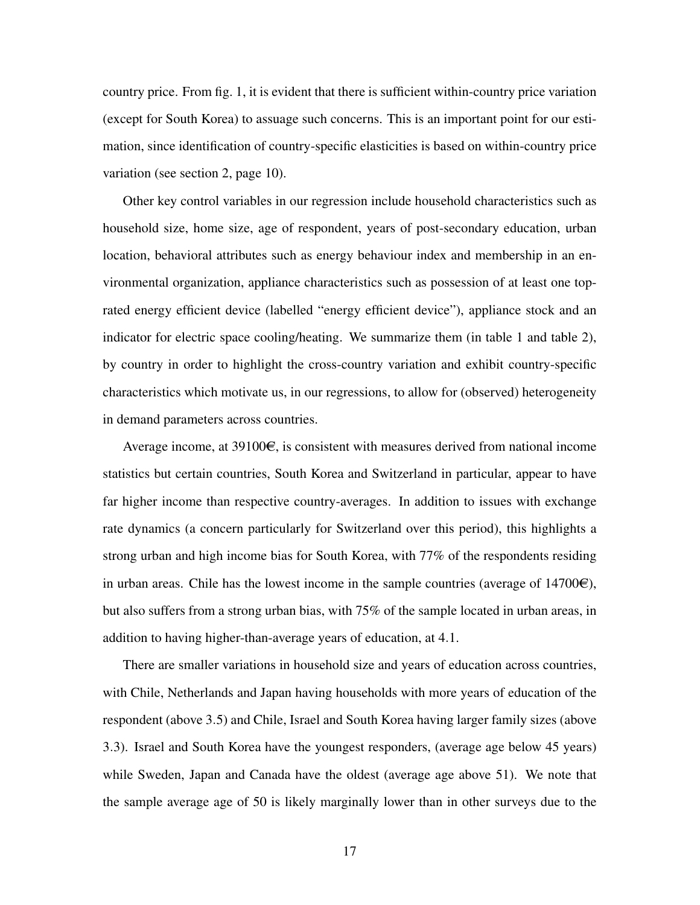country price. From fig. [1,](#page-41-0) it is evident that there is sufficient within-country price variation (except for South Korea) to assuage such concerns. This is an important point for our estimation, since identification of country-specific elasticities is based on within-country price variation (see section [2,](#page-7-1) page [10\)](#page-10-1).

Other key control variables in our regression include household characteristics such as household size, home size, age of respondent, years of post-secondary education, urban location, behavioral attributes such as energy behaviour index and membership in an environmental organization, appliance characteristics such as possession of at least one toprated energy efficient device (labelled "energy efficient device"), appliance stock and an indicator for electric space cooling/heating. We summarize them (in table [1](#page-15-0) and table [2\)](#page-16-0), by country in order to highlight the cross-country variation and exhibit country-specific characteristics which motivate us, in our regressions, to allow for (observed) heterogeneity in demand parameters across countries.

Average income, at  $39100\epsilon$ , is consistent with measures derived from national income statistics but certain countries, South Korea and Switzerland in particular, appear to have far higher income than respective country-averages. In addition to issues with exchange rate dynamics (a concern particularly for Switzerland over this period), this highlights a strong urban and high income bias for South Korea, with 77% of the respondents residing in urban areas. Chile has the lowest income in the sample countries (average of  $14700\epsilon$ ), but also suffers from a strong urban bias, with 75% of the sample located in urban areas, in addition to having higher-than-average years of education, at 4.1.

There are smaller variations in household size and years of education across countries, with Chile, Netherlands and Japan having households with more years of education of the respondent (above 3.5) and Chile, Israel and South Korea having larger family sizes (above 3.3). Israel and South Korea have the youngest responders, (average age below 45 years) while Sweden, Japan and Canada have the oldest (average age above 51). We note that the sample average age of 50 is likely marginally lower than in other surveys due to the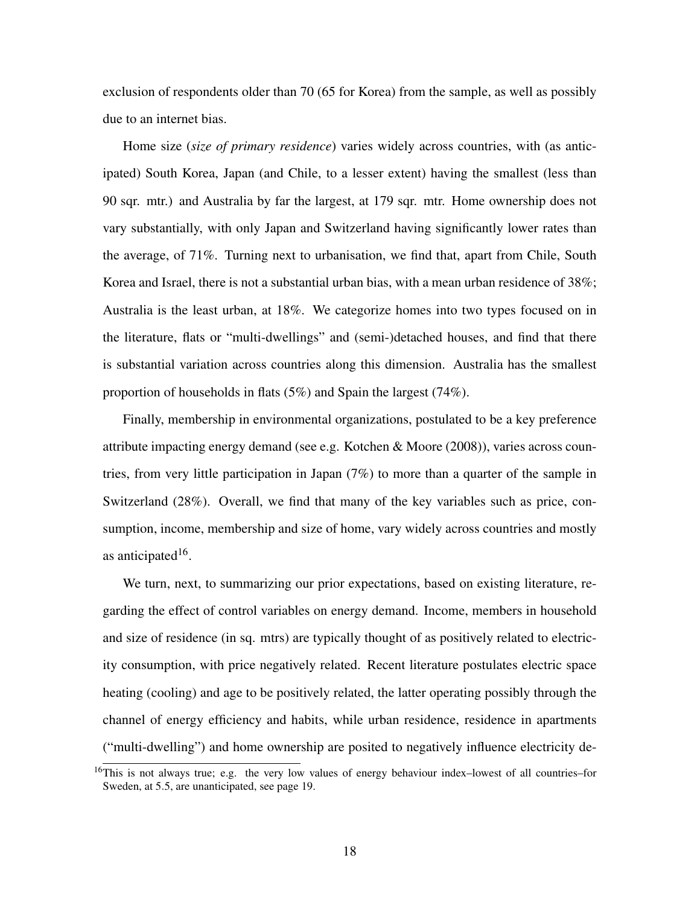exclusion of respondents older than 70 (65 for Korea) from the sample, as well as possibly due to an internet bias.

Home size (*size of primary residence*) varies widely across countries, with (as anticipated) South Korea, Japan (and Chile, to a lesser extent) having the smallest (less than 90 sqr. mtr.) and Australia by far the largest, at 179 sqr. mtr. Home ownership does not vary substantially, with only Japan and Switzerland having significantly lower rates than the average, of 71%. Turning next to urbanisation, we find that, apart from Chile, South Korea and Israel, there is not a substantial urban bias, with a mean urban residence of 38%; Australia is the least urban, at 18%. We categorize homes into two types focused on in the literature, flats or "multi-dwellings" and (semi-)detached houses, and find that there is substantial variation across countries along this dimension. Australia has the smallest proportion of households in flats (5%) and Spain the largest (74%).

Finally, membership in environmental organizations, postulated to be a key preference attribute impacting energy demand (see e.g. [Kotchen & Moore](#page-36-5) [\(2008\)](#page-36-5)), varies across countries, from very little participation in Japan (7%) to more than a quarter of the sample in Switzerland (28%). Overall, we find that many of the key variables such as price, consumption, income, membership and size of home, vary widely across countries and mostly as anticipated<sup>[16](#page-1-0)</sup>.

We turn, next, to summarizing our prior expectations, based on existing literature, regarding the effect of control variables on energy demand. Income, members in household and size of residence (in sq. mtrs) are typically thought of as positively related to electricity consumption, with price negatively related. Recent literature postulates electric space heating (cooling) and age to be positively related, the latter operating possibly through the channel of energy efficiency and habits, while urban residence, residence in apartments ("multi-dwelling") and home ownership are posited to negatively influence electricity de-

 $16$ This is not always true; e.g. the very low values of energy behaviour index–lowest of all countries–for Sweden, at 5.5, are unanticipated, see page [19.](#page-19-1)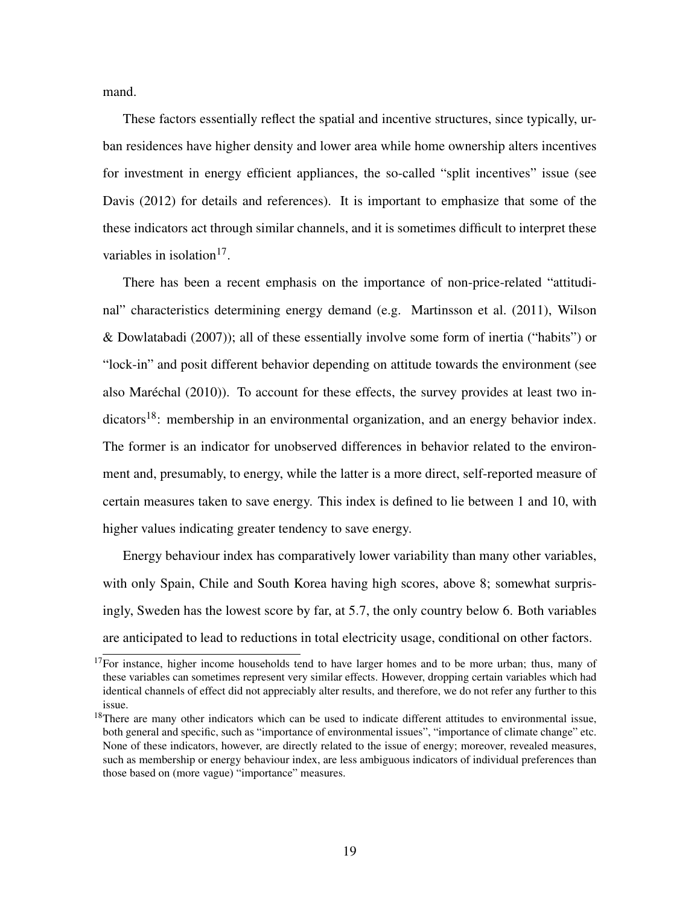mand.

These factors essentially reflect the spatial and incentive structures, since typically, urban residences have higher density and lower area while home ownership alters incentives for investment in energy efficient appliances, the so-called "split incentives" issue (see [Davis](#page-36-6) [\(2012\)](#page-36-6) for details and references). It is important to emphasize that some of the these indicators act through similar channels, and it is sometimes difficult to interpret these variables in isolation<sup>[17](#page-1-0)</sup>.

There has been a recent emphasis on the importance of non-price-related "attitudinal" characteristics determining energy demand (e.g. [Martinsson et al.](#page-37-7) [\(2011\)](#page-37-7), [Wilson](#page-38-2) [& Dowlatabadi](#page-38-2) [\(2007\)](#page-38-2)); all of these essentially involve some form of inertia ("habits") or "lock-in" and posit different behavior depending on attitude towards the environment (see also [Maréchal](#page-37-8) [\(2010\)](#page-37-8)). To account for these effects, the survey provides at least two in-dicators<sup>[18](#page-1-0)</sup>: membership in an environmental organization, and an energy behavior index. The former is an indicator for unobserved differences in behavior related to the environment and, presumably, to energy, while the latter is a more direct, self-reported measure of certain measures taken to save energy. This index is defined to lie between 1 and 10, with higher values indicating greater tendency to save energy.

<span id="page-19-1"></span>Energy behaviour index has comparatively lower variability than many other variables, with only Spain, Chile and South Korea having high scores, above 8; somewhat surprisingly, Sweden has the lowest score by far, at 5.7, the only country below 6. Both variables are anticipated to lead to reductions in total electricity usage, conditional on other factors.

<span id="page-19-0"></span> $17$ For instance, higher income households tend to have larger homes and to be more urban; thus, many of these variables can sometimes represent very similar effects. However, dropping certain variables which had identical channels of effect did not appreciably alter results, and therefore, we do not refer any further to this issue.

 $18$ There are many other indicators which can be used to indicate different attitudes to environmental issue, both general and specific, such as "importance of environmental issues", "importance of climate change" etc. None of these indicators, however, are directly related to the issue of energy; moreover, revealed measures, such as membership or energy behaviour index, are less ambiguous indicators of individual preferences than those based on (more vague) "importance" measures.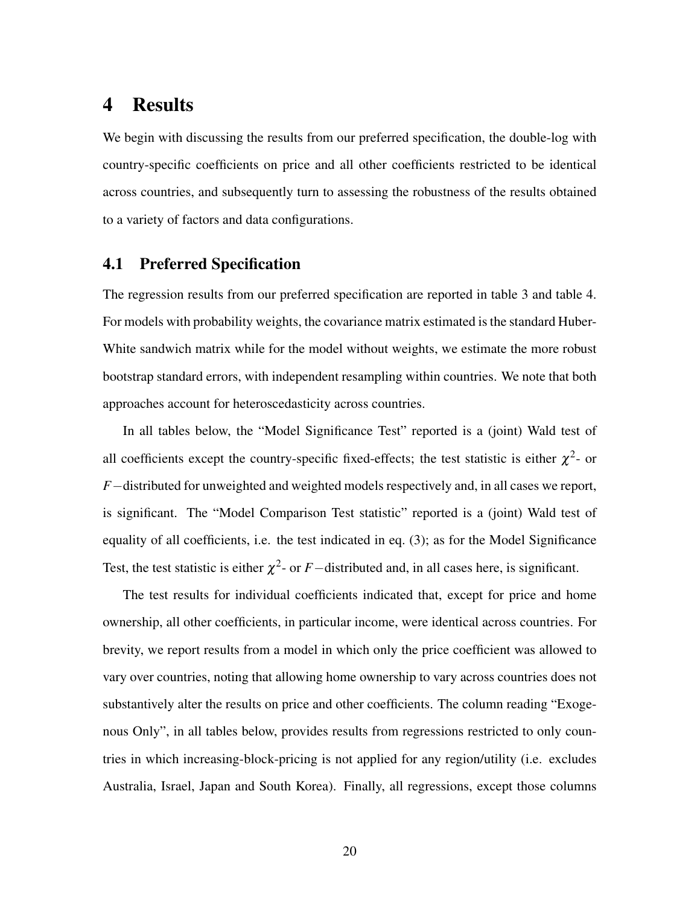# 4 Results

We begin with discussing the results from our preferred specification, the double-log with country-specific coefficients on price and all other coefficients restricted to be identical across countries, and subsequently turn to assessing the robustness of the results obtained to a variety of factors and data configurations.

#### <span id="page-20-0"></span>4.1 Preferred Specification

The regression results from our preferred specification are reported in table [3](#page-22-0) and table [4.](#page-23-0) For models with probability weights, the covariance matrix estimated is the standard Huber-White sandwich matrix while for the model without weights, we estimate the more robust bootstrap standard errors, with independent resampling within countries. We note that both approaches account for heteroscedasticity across countries.

In all tables below, the "Model Significance Test" reported is a (joint) Wald test of all coefficients except the country-specific fixed-effects; the test statistic is either  $\chi^2$ - or *F*−distributed for unweighted and weighted models respectively and, in all cases we report, is significant. The "Model Comparison Test statistic" reported is a (joint) Wald test of equality of all coefficients, i.e. the test indicated in eq. [\(3\)](#page-8-0); as for the Model Significance Test, the test statistic is either  $\chi^2$ - or *F*−distributed and, in all cases here, is significant.

The test results for individual coefficients indicated that, except for price and home ownership, all other coefficients, in particular income, were identical across countries. For brevity, we report results from a model in which only the price coefficient was allowed to vary over countries, noting that allowing home ownership to vary across countries does not substantively alter the results on price and other coefficients. The column reading "Exogenous Only", in all tables below, provides results from regressions restricted to only countries in which increasing-block-pricing is not applied for any region/utility (i.e. excludes Australia, Israel, Japan and South Korea). Finally, all regressions, except those columns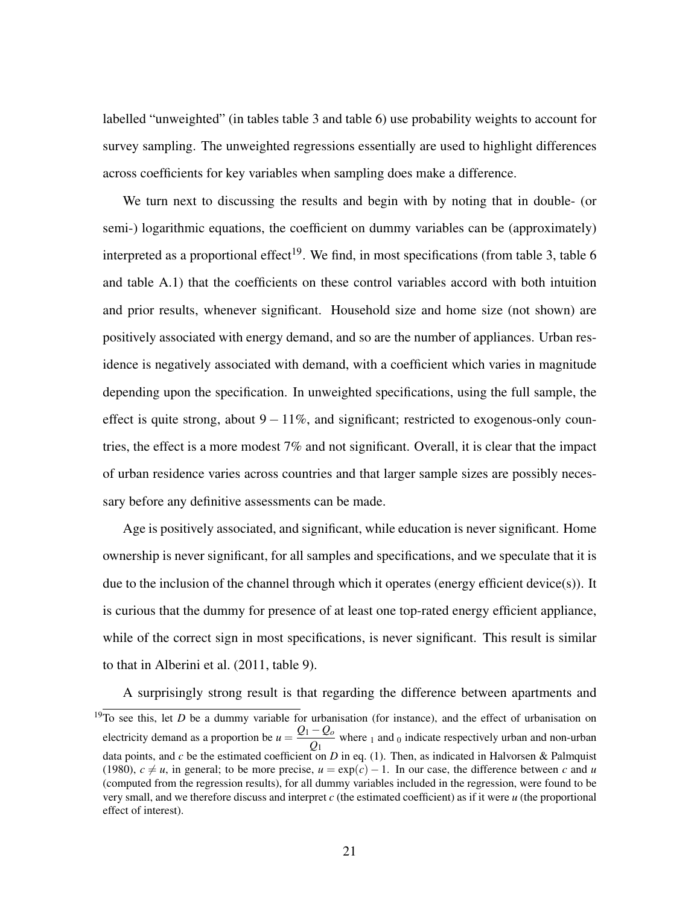labelled "unweighted" (in tables table [3](#page-22-0) and table [6\)](#page-27-0) use probability weights to account for survey sampling. The unweighted regressions essentially are used to highlight differences across coefficients for key variables when sampling does make a difference.

We turn next to discussing the results and begin with by noting that in double- (or semi-) logarithmic equations, the coefficient on dummy variables can be (approximately) interpreted as a proportional effect<sup>[19](#page-1-0)</sup>. We find, in most specifications (from table [3,](#page-22-0) table [6](#page-27-0)) and table [A.1\)](#page-39-0) that the coefficients on these control variables accord with both intuition and prior results, whenever significant. Household size and home size (not shown) are positively associated with energy demand, and so are the number of appliances. Urban residence is negatively associated with demand, with a coefficient which varies in magnitude depending upon the specification. In unweighted specifications, using the full sample, the effect is quite strong, about  $9 - 11\%$ , and significant; restricted to exogenous-only countries, the effect is a more modest 7% and not significant. Overall, it is clear that the impact of urban residence varies across countries and that larger sample sizes are possibly necessary before any definitive assessments can be made.

Age is positively associated, and significant, while education is never significant. Home ownership is never significant, for all samples and specifications, and we speculate that it is due to the inclusion of the channel through which it operates (energy efficient device(s)). It is curious that the dummy for presence of at least one top-rated energy efficient appliance, while of the correct sign in most specifications, is never significant. This result is similar to that in [Alberini et al.](#page-35-0) [\(2011,](#page-35-0) table 9).

A surprisingly strong result is that regarding the difference between apartments and

 $19\overline{7}$  o see this, let *D* be a dummy variable for urbanisation (for instance), and the effect of urbanisation on electricity demand as a proportion be  $u = \frac{Q_1 - Q_0}{Q_0}$  $\frac{z_0}{Q_1}$  where <sub>1</sub> and <sub>0</sub> indicate respectively urban and non-urban data points, and *c* be the estimated coefficient on *D* in eq. [\(1\)](#page-7-2). Then, as indicated in [Halvorsen & Palmquist](#page-36-7) [\(1980\)](#page-36-7),  $c \neq u$ , in general; to be more precise,  $u = \exp(c) - 1$ . In our case, the difference between *c* and *u* (computed from the regression results), for all dummy variables included in the regression, were found to be very small, and we therefore discuss and interpret *c* (the estimated coefficient) as if it were *u* (the proportional effect of interest).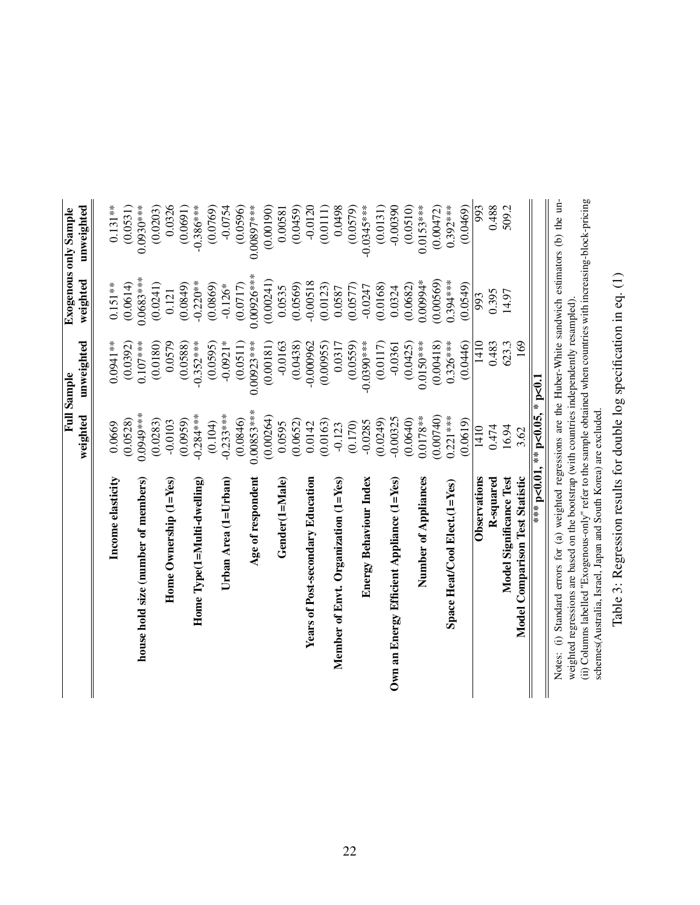<span id="page-22-0"></span>

|                                                                                                                  |                                | <b>Full Sample</b> |                         | <b>Exogenous only Sample</b> |
|------------------------------------------------------------------------------------------------------------------|--------------------------------|--------------------|-------------------------|------------------------------|
|                                                                                                                  | weighted                       | unweighted         | weighted                | unweighted                   |
| Income elasticity                                                                                                | 0.0669                         | $0.0941***$        | $0.151***$              | $0.131**$                    |
|                                                                                                                  | (0.0528)                       | (0.0392)           |                         | (0.0531)                     |
| house hold size (number of members)                                                                              | $0.0949***$                    | $0.107***$         | $0.0683***$<br>(0.0614) | $0.0930***$                  |
|                                                                                                                  |                                |                    |                         |                              |
|                                                                                                                  | (0.0283)                       | (0.0180)           | (0.0241)                | (0.0203)                     |
| Home Ownership $(1 = Yes)$                                                                                       | $-0.0103$                      | 0.0579             | 0.121                   | 0.0326                       |
|                                                                                                                  | (0.0959)                       | (0.0588)           | (0.0849)                | (0.0691)                     |
| Home $Type(1=Multi\text{-}dwelling)$                                                                             | $-0.284***$                    | $-0.352***$        | $-0.220**$              | $-0.386***$                  |
|                                                                                                                  | (0.104)                        | (0.0595)           | (0.0869)                | (0.0769)                     |
| Urban Area (1=Urban)                                                                                             | $-0.233***$                    | $-0.0921*$         | $-0.126*$               | $-0.0754$                    |
|                                                                                                                  | (0.0846)                       | (0.0511)           | (0.0717)                | (0.0596)                     |
| Age of respondent                                                                                                | $0.00853***$                   | $0.00923***$       | $0.00926***$            | $0.00897***$                 |
|                                                                                                                  | (0.00264)                      | (0.00181)          | (0.00241)               | (0.00190)                    |
| Gender(1=Male)                                                                                                   | 0.0595                         | $-0.0163$          | 0.0535                  | 0.00581                      |
|                                                                                                                  | (0.0652)                       | (0.0438)           | (0.0569)                | (0.0459)                     |
| <b>Years of Post-secondary Education</b>                                                                         | 0.0142                         | $-0.000962$        | $-0.00518$              | $-0.0120$                    |
|                                                                                                                  | (0.0163)                       | (0.00955)          | (0.0123)                | (0.0111)                     |
| Member of Envt. Organization (1=Yes)                                                                             | $-0.123$                       | 0.0317             | 0.0587                  | 0.0498                       |
|                                                                                                                  | (0.170)                        | (0.0559)           | (0.0577)                | (0.0579)                     |
| Energy Behaviour Index                                                                                           | $-0.0285$                      | $-0.0390$ ***      | $-0.0247$               | $-0.0345***$                 |
|                                                                                                                  | (0.0249)                       | (0.0117)           | (0.0168)                | (0.0131)                     |
| Own an Energy Efficient Appliance (1=Yes)                                                                        | $-0.00325$                     | $-0.0361$          | 0.0324                  | $-0.00390$                   |
|                                                                                                                  | (0.0640)                       | (0.0425)           | (0.0682)                | (0.0510)                     |
| Number of Appliances                                                                                             | $0.0178***$                    | $0.0150***$        | 0.00994*                | $0.0153***$                  |
|                                                                                                                  | (0.00740)                      | (0.00418)          | (0.00569)               | (0.00472)                    |
| Space Heat/Cool Elect.(1=Yes)                                                                                    | $0.221***$                     | $0.326***$         | $0.394***$              | $0.392***$                   |
|                                                                                                                  | (0.0619)                       | (0.0446)           | (0.0549)                | (0.0469)                     |
| Observations                                                                                                     | 1410                           | 1410               | 993                     | 993                          |
| R-squared                                                                                                        | 0.474                          | 0.483              | 0.395                   | 0.488                        |
| Model Significance Test                                                                                          | 16.94                          | 623.3              | 14.97                   | 509.2                        |
| <b>Model Comparison Test Statistic</b>                                                                           | 3.62                           | 169                |                         |                              |
|                                                                                                                  | *** p<0.01, ** p<0.05, * p<0.1 |                    |                         |                              |
| Notes: (i) Standard errors for (a) weighted regressions are the Huber-White sandwich estimators (b) the un-      |                                |                    |                         |                              |
| weighted regressions are based on the bootstrap (with countries independently resampled)                         |                                |                    |                         |                              |
| (ii) Columns labelled "Exogenous-only" refer to the sample obtained when countries with increasing-block-pricing |                                |                    |                         |                              |
| schemes(Australia, Israel, Japan and South Korea) are excluded                                                   |                                |                    |                         |                              |

# Table 3: Regression results for double log specification in eq. (1) Table 3: Regression results for double log specification in eq. [\(1\)](#page-7-2)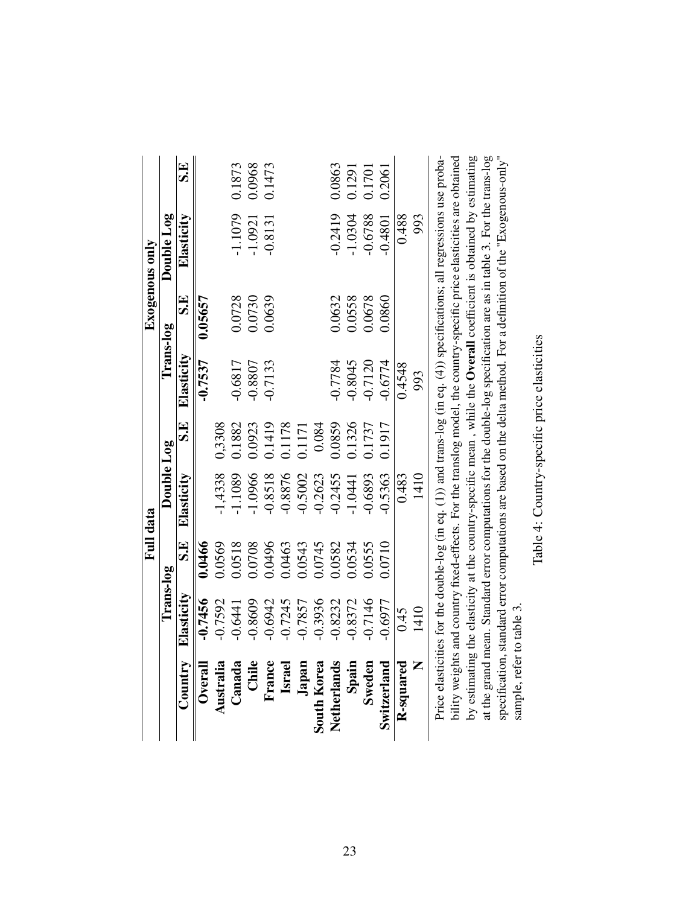<span id="page-23-0"></span>

|                    |            | Full data |            |        |            |         | Exogenous only                                                                                                                                                                                                                                                                                                                                                           |        |
|--------------------|------------|-----------|------------|--------|------------|---------|--------------------------------------------------------------------------------------------------------------------------------------------------------------------------------------------------------------------------------------------------------------------------------------------------------------------------------------------------------------------------|--------|
|                    | Trans-log  |           | Double Log |        | Trans-log  |         | Double Log                                                                                                                                                                                                                                                                                                                                                               |        |
| Country            | Elasticity | 모.<br>S   | Elasticity | S.E    | Elasticity | 5H      | Elasticity                                                                                                                                                                                                                                                                                                                                                               | S.E    |
| $0$ verall         | $-0.7456$  | 0.0466    |            |        | $-0.7537$  | 0.05657 |                                                                                                                                                                                                                                                                                                                                                                          |        |
| Australia          | $-0.7592$  | 0.0569    | 1,4338     | 0,3308 |            |         |                                                                                                                                                                                                                                                                                                                                                                          |        |
| Canada             | $-0.6441$  | 0.0518    | 1.1089     | 0.1882 | $-0.6817$  | 0.0728  | -1.1079                                                                                                                                                                                                                                                                                                                                                                  | 0.1873 |
| Chile              | 0.8609     | 0.0708    | 1.0966     | 0.0923 | -0.8807    | 0.0730  | $-1.0921$                                                                                                                                                                                                                                                                                                                                                                | 0.0968 |
| France             | $-0.6942$  | 0.0496    | 0.8518     | 0.1419 | 0.7133     | 0.0639  | $-0.8131$                                                                                                                                                                                                                                                                                                                                                                | 0.1473 |
| <b>Israe</b>       | 0.7245     | 0.0463    | 0.8876     | 0.1178 |            |         |                                                                                                                                                                                                                                                                                                                                                                          |        |
| Japan              | 0.7857     | 0.0543    | 0.5002     | 0.1171 |            |         |                                                                                                                                                                                                                                                                                                                                                                          |        |
| <b>South Korea</b> | $-0.3936$  | 0.0745    | 0.2623     | 0.084  |            |         |                                                                                                                                                                                                                                                                                                                                                                          |        |
| Netherlands        | 0.8232     | 0.0582    | 0.2455     | 0.0859 | $-0.7784$  | 0.0632  | $-0.2419$                                                                                                                                                                                                                                                                                                                                                                | 0.0863 |
| Spain              | 0.8372     | 0.534     | 1.0441     | 0.1326 | $-0.8045$  | 0.0558  | $-1.0304$                                                                                                                                                                                                                                                                                                                                                                | 0.1291 |
| Sweden             | 0.7146     | 0.0555    | 0.6893     | 0.1737 | $-0.7120$  | 0.0678  | $-0.6788$                                                                                                                                                                                                                                                                                                                                                                | 0.1701 |
| Switzerland        | 0.6977     | 0.0710    | 0.5363     | 0.1917 | $-0.6774$  | 0.0860  | $-0.4801$                                                                                                                                                                                                                                                                                                                                                                | 0.2061 |
| R-squared          | 0.45       |           | 0.483      |        | 0.4548     |         | 0.488                                                                                                                                                                                                                                                                                                                                                                    |        |
| Z                  | 1410       |           | 1410       |        | 993        |         | 993                                                                                                                                                                                                                                                                                                                                                                      |        |
|                    |            |           |            |        |            |         | by estimating the elasticity at the country-specific mean, while the Overall coefficient is obtained by estimating<br>Price elasticities for the double-log (in eq. (1)) and trans-log (in eq. (4)) specifications; all regressions use proba-<br>bility weights and country fixed-effects. For the translog model, the country-specific price elasticities are obtained |        |
|                    |            |           |            |        |            |         |                                                                                                                                                                                                                                                                                                                                                                          |        |

| ļ<br>:<br>$\frac{1}{2}$ |
|-------------------------|
| ı                       |
| contro person<br>ׇ֠     |
| i<br>l                  |
|                         |
|                         |

sample, refer to table [3.](#page-22-0)

sample, refer to table 3.

at the grand mean. Standard error computations for the double-log specification are as in table [3.](#page-22-0) For the trans-log specification, standard error computations are based on the delta method. For a definition of the "Exogenous-only"

at the grand mean. Standard error computations for the double-log specification are as in table 3. For the trans-log<br>specification, standard error computations are based on the delta method. For a definition of the "Exogen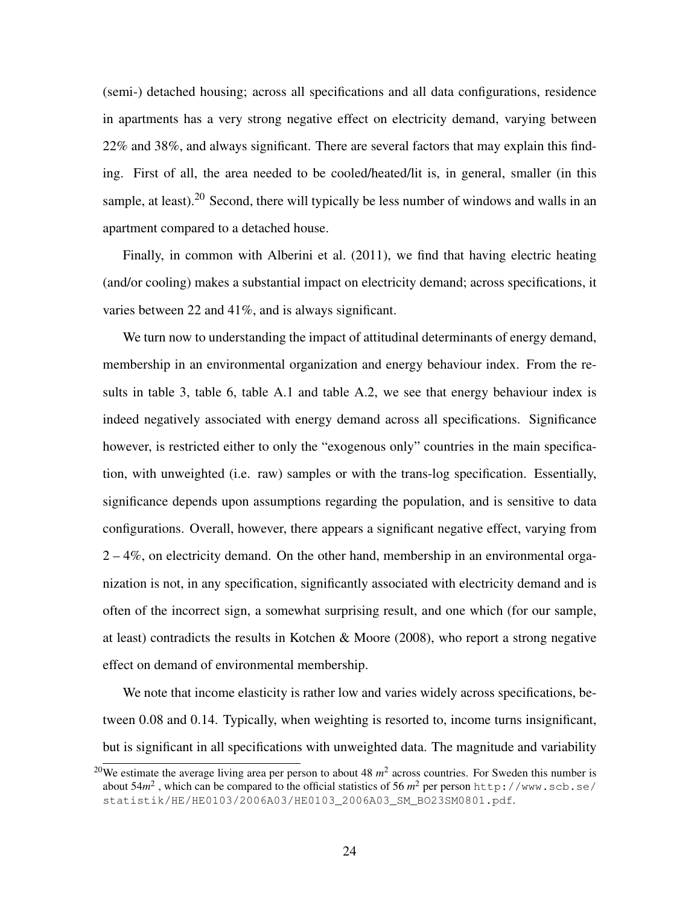(semi-) detached housing; across all specifications and all data configurations, residence in apartments has a very strong negative effect on electricity demand, varying between 22% and 38%, and always significant. There are several factors that may explain this finding. First of all, the area needed to be cooled/heated/lit is, in general, smaller (in this sample, at least).<sup>[20](#page-1-0)</sup> Second, there will typically be less number of windows and walls in an apartment compared to a detached house.

Finally, in common with [Alberini et al.](#page-35-0) [\(2011\)](#page-35-0), we find that having electric heating (and/or cooling) makes a substantial impact on electricity demand; across specifications, it varies between 22 and 41%, and is always significant.

We turn now to understanding the impact of attitudinal determinants of energy demand, membership in an environmental organization and energy behaviour index. From the results in table [3,](#page-22-0) table [6,](#page-27-0) table [A.1](#page-39-0) and table [A.2,](#page-40-0) we see that energy behaviour index is indeed negatively associated with energy demand across all specifications. Significance however, is restricted either to only the "exogenous only" countries in the main specification, with unweighted (i.e. raw) samples or with the trans-log specification. Essentially, significance depends upon assumptions regarding the population, and is sensitive to data configurations. Overall, however, there appears a significant negative effect, varying from 2 – 4%, on electricity demand. On the other hand, membership in an environmental organization is not, in any specification, significantly associated with electricity demand and is often of the incorrect sign, a somewhat surprising result, and one which (for our sample, at least) contradicts the results in [Kotchen & Moore](#page-36-5) [\(2008\)](#page-36-5), who report a strong negative effect on demand of environmental membership.

We note that income elasticity is rather low and varies widely across specifications, between 0.08 and 0.14. Typically, when weighting is resorted to, income turns insignificant, but is significant in all specifications with unweighted data. The magnitude and variability

<sup>&</sup>lt;sup>20</sup>We estimate the average living area per person to about 48  $m<sup>2</sup>$  across countries. For Sweden this number is about 54*m* 2 , which can be compared to the official statistics of 56 *m* <sup>2</sup> per person [http://www.scb.se/](http://www.scb.se/statistik/HE/HE0103/2006A03/HE0103_2006A03_SM_BO23SM0801.pdf) [statistik/HE/HE0103/2006A03/HE0103\\_2006A03\\_SM\\_BO23SM0801.pdf](http://www.scb.se/statistik/HE/HE0103/2006A03/HE0103_2006A03_SM_BO23SM0801.pdf).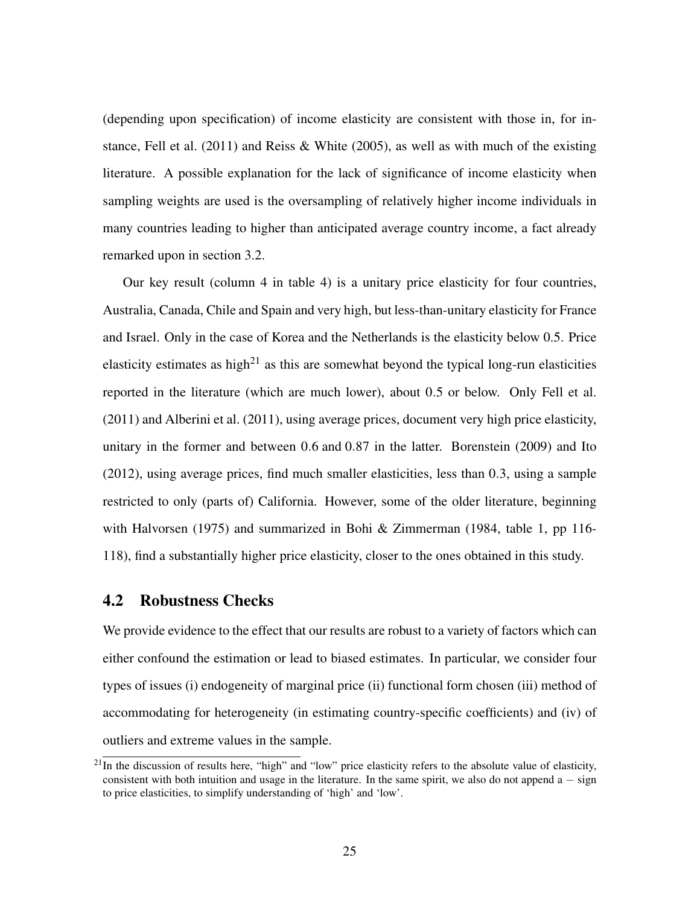(depending upon specification) of income elasticity are consistent with those in, for in-stance, [Fell et al.](#page-36-0) [\(2011\)](#page-36-0) and [Reiss & White](#page-37-4) [\(2005\)](#page-37-4), as well as with much of the existing literature. A possible explanation for the lack of significance of income elasticity when sampling weights are used is the oversampling of relatively higher income individuals in many countries leading to higher than anticipated average country income, a fact already remarked upon in section [3.2.](#page-14-0)

Our key result (column 4 in table [4\)](#page-23-0) is a unitary price elasticity for four countries, Australia, Canada, Chile and Spain and very high, but less-than-unitary elasticity for France and Israel. Only in the case of Korea and the Netherlands is the elasticity below 0.5. Price elasticity estimates as high<sup>[21](#page-1-0)</sup> as this are somewhat beyond the typical long-run elasticities reported in the literature (which are much lower), about 0.5 or below. Only [Fell et al.](#page-36-0) [\(2011\)](#page-36-0) and [Alberini et al.](#page-35-0) [\(2011\)](#page-35-0), using average prices, document very high price elasticity, unitary in the former and between 0.6 and 0.87 in the latter. [Borenstein](#page-35-2) [\(2009\)](#page-35-2) and [Ito](#page-36-2) [\(2012\)](#page-36-2), using average prices, find much smaller elasticities, less than 0.3, using a sample restricted to only (parts of) California. However, some of the older literature, beginning with [Halvorsen](#page-36-4) [\(1975\)](#page-36-4) and summarized in Bohi  $\&$  Zimmerman [\(1984,](#page-35-5) table 1, pp 116-118), find a substantially higher price elasticity, closer to the ones obtained in this study.

#### <span id="page-25-0"></span>4.2 Robustness Checks

We provide evidence to the effect that our results are robust to a variety of factors which can either confound the estimation or lead to biased estimates. In particular, we consider four types of issues (i) endogeneity of marginal price (ii) functional form chosen (iii) method of accommodating for heterogeneity (in estimating country-specific coefficients) and (iv) of outliers and extreme values in the sample.

 $^{21}$ In the discussion of results here, "high" and "low" price elasticity refers to the absolute value of elasticity, consistent with both intuition and usage in the literature. In the same spirit, we also do not append  $a - sign$ to price elasticities, to simplify understanding of 'high' and 'low'.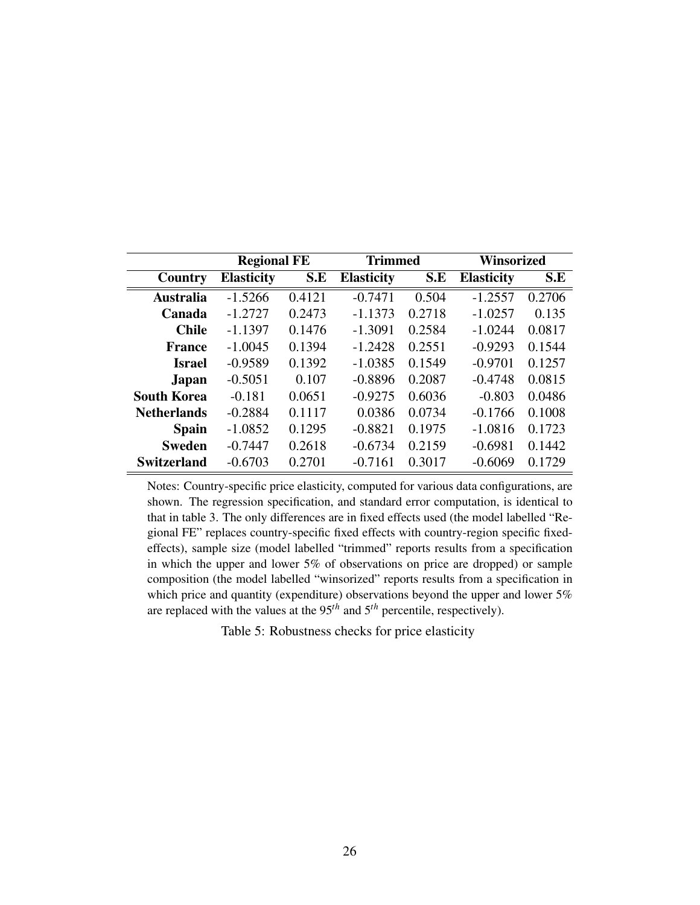<span id="page-26-0"></span>

|                    | <b>Regional FE</b> |        | Trimmed           |        | Winsorized        |        |
|--------------------|--------------------|--------|-------------------|--------|-------------------|--------|
| Country            | <b>Elasticity</b>  | S.E    | <b>Elasticity</b> | S.E    | <b>Elasticity</b> | S.E    |
| <b>Australia</b>   | $-1.5266$          | 0.4121 | $-0.7471$         | 0.504  | $-1.2557$         | 0.2706 |
| Canada             | $-1.2727$          | 0.2473 | $-1.1373$         | 0.2718 | $-1.0257$         | 0.135  |
| <b>Chile</b>       | $-1.1397$          | 0.1476 | $-1.3091$         | 0.2584 | $-1.0244$         | 0.0817 |
| <b>France</b>      | $-1.0045$          | 0.1394 | $-1.2428$         | 0.2551 | $-0.9293$         | 0.1544 |
| <b>Israel</b>      | $-0.9589$          | 0.1392 | $-1.0385$         | 0.1549 | $-0.9701$         | 0.1257 |
| <b>Japan</b>       | $-0.5051$          | 0.107  | $-0.8896$         | 0.2087 | $-0.4748$         | 0.0815 |
| <b>South Korea</b> | $-0.181$           | 0.0651 | $-0.9275$         | 0.6036 | $-0.803$          | 0.0486 |
| <b>Netherlands</b> | $-0.2884$          | 0.1117 | 0.0386            | 0.0734 | $-0.1766$         | 0.1008 |
| <b>Spain</b>       | $-1.0852$          | 0.1295 | $-0.8821$         | 0.1975 | $-1.0816$         | 0.1723 |
| <b>Sweden</b>      | $-0.7447$          | 0.2618 | $-0.6734$         | 0.2159 | $-0.6981$         | 0.1442 |
| <b>Switzerland</b> | $-0.6703$          | 0.2701 | $-0.7161$         | 0.3017 | $-0.6069$         | 0.1729 |

Notes: Country-specific price elasticity, computed for various data configurations, are shown. The regression specification, and standard error computation, is identical to that in table [3.](#page-22-0) The only differences are in fixed effects used (the model labelled "Regional FE" replaces country-specific fixed effects with country-region specific fixedeffects), sample size (model labelled "trimmed" reports results from a specification in which the upper and lower 5% of observations on price are dropped) or sample composition (the model labelled "winsorized" reports results from a specification in which price and quantity (expenditure) observations beyond the upper and lower 5% are replaced with the values at the 95*th* and 5*th* percentile, respectively).

Table 5: Robustness checks for price elasticity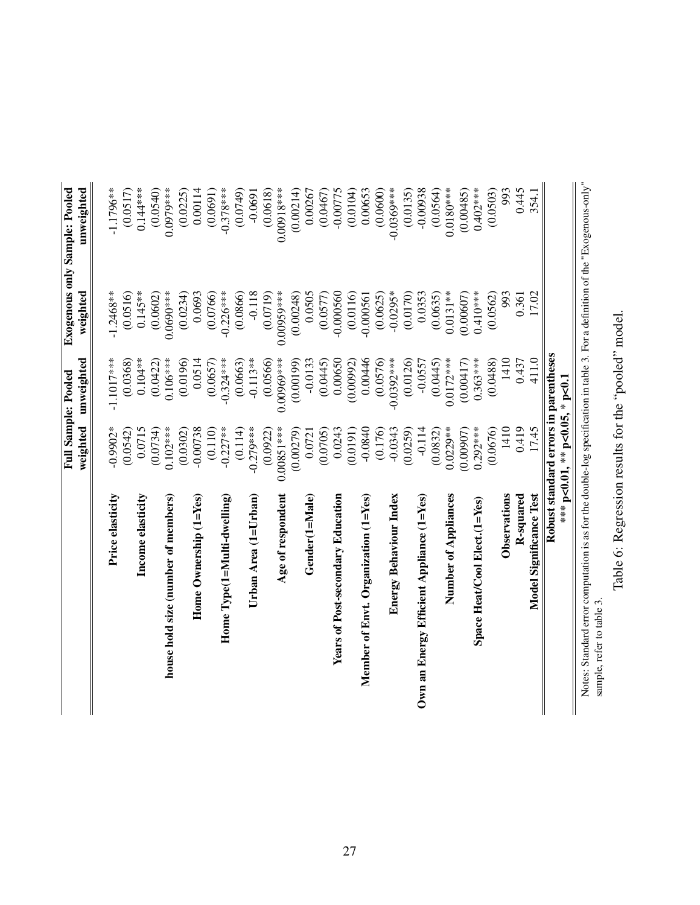<span id="page-27-0"></span>

|                                                                                                                               |                              | Full Sample: Pooled                   |              | <b>Exogenous only Sample: Pooled</b> |
|-------------------------------------------------------------------------------------------------------------------------------|------------------------------|---------------------------------------|--------------|--------------------------------------|
|                                                                                                                               | weighted                     | unweighted                            | weighted     | unweighted                           |
|                                                                                                                               |                              |                                       |              |                                      |
| Price elasticity                                                                                                              | $-0.9902*$                   | $-1.1017***$                          | $-1.2468**$  | $-1.1796**$                          |
|                                                                                                                               | (0.0542)                     | (0.0368)                              | (0.0516)     | (0.0517)                             |
| Income elasticity                                                                                                             | 0.0715                       | $0.104**$                             | $0.145***$   | $0.144***$                           |
|                                                                                                                               | (0.0734)                     | (0.0422)                              | (0.0602)     | (0.0540)                             |
| house hold size (number of members)                                                                                           | $0.102***$                   | $0.106***$                            | $0.0690***$  | $0.0979***$                          |
|                                                                                                                               | (0.0302)                     | (0.0196)                              | (0.0234)     | (0.0225)                             |
| Home Ownership $(1 = Yes)$                                                                                                    | $-0.00738$                   | 0.0514                                | 0.0693       | 0.00114                              |
|                                                                                                                               | (0.110)                      | (0.0657)                              | (0.0766)     | (0.0691)                             |
| Home $\operatorname{Type}(\operatorname{1=Mult-dwelling})$                                                                    | $-0.227**$                   | $-0.324***$                           | $-0.226***$  | $-0.378***$                          |
|                                                                                                                               | (0.114)                      | (0.0663)                              | (0.0866)     | (0.0749)                             |
| Urban Area $(1=U$ rban)                                                                                                       | $-0.279***$                  | $-0.113**$                            | $-0.118$     | $-0.0691$                            |
|                                                                                                                               | (0.0922)                     | (0.0566)                              | (0.0719)     | (0.0618)                             |
| Age of respondent                                                                                                             | $0.00851***$                 | $0.00969***$                          | $0.00959***$ | $0.00918***$                         |
|                                                                                                                               | (0.00279)                    | (0.00199)                             | (0.00248)    | (0.00214)                            |
| Gender(1=Male)                                                                                                                | 0.0721                       | $-0.0133$                             | 0.0505       | 0.00267                              |
|                                                                                                                               | (0.0705)                     | (0.0445)                              | (0.0577)     | (0.0467)                             |
| Years of Post-secondary Education                                                                                             | 0.0243                       | 0.00650                               | $-0.000560$  | $-0.00775$                           |
|                                                                                                                               | (0.0191)                     | (0.00992)                             | (0.0116)     | (0.0104)                             |
| Member of Envt. Organization (1=Yes)                                                                                          | $-0.0840$                    | 0.00446                               | $-0.000561$  | 0.00653                              |
|                                                                                                                               | (0.176)                      | (0.0576)                              | (0.0625)     | (0.0600)                             |
| Energy Behaviour Index                                                                                                        | $-0.0343$                    | $-0.0392***$                          | $-0.0295*$   | $-0.0369***$                         |
|                                                                                                                               | (0.0259)                     | (0.0126)                              | (0.0170)     | (0.0135)                             |
| Own an Energy Efficient Appliance (1=Yes)                                                                                     | $-0.114$                     | $-0.0557$                             | 0.0353       | $-0.00938$                           |
|                                                                                                                               | (0.0832)                     | (0.0445)                              | (0.0635)     | (0.0564)                             |
| Number of Appliances                                                                                                          | $0.0229**$                   | $0.0172***$                           | $0.0131***$  | $0.0180***$                          |
|                                                                                                                               | (0.00907)                    | (0.00417)                             | (0.00607)    | (0.00485)                            |
| Space Heat/Cool Elect.(1=Yes)                                                                                                 | $0.292***$                   | $0.363***$                            | $0.410***$   | $0.402***$                           |
|                                                                                                                               | (0.0676)                     | (0.0488)                              | (0.0562)     | (0.0503)                             |
| Observations                                                                                                                  | 1410                         | 1410                                  | 993          | 993                                  |
| R-squared                                                                                                                     | 0.419                        | 0.437                                 | 0.361        | 0.445                                |
| Model Significance Test                                                                                                       | 17.45                        | 411.0                                 | 17.02        | 354.1                                |
|                                                                                                                               |                              | Robust standard errors in parentheses |              |                                      |
|                                                                                                                               | *** p<0.01,** p<0.05,* p<0.1 |                                       |              |                                      |
| Notes: Standard error computation is as for the double-log specification in table 3. For a definition of the "Exogenous-only" |                              |                                       |              |                                      |
| sample, refer to table 3.                                                                                                     |                              |                                       |              |                                      |

Table 6: Regression results for the "pooled" model. Table 6: Regression results for the "pooled" model.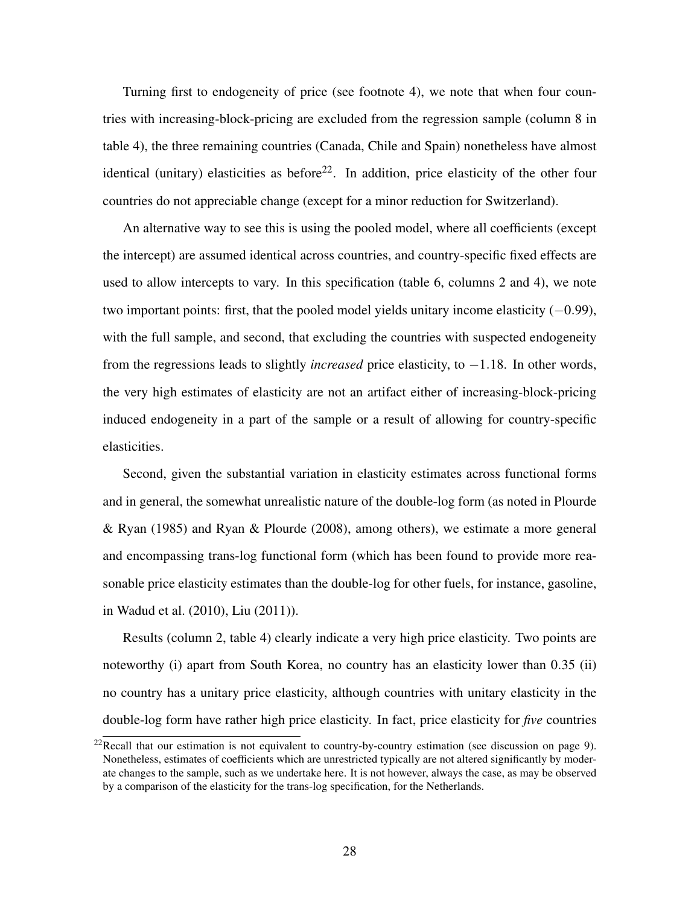Turning first to endogeneity of price (see footnote [4\)](#page-1-1), we note that when four countries with increasing-block-pricing are excluded from the regression sample (column 8 in table [4\)](#page-23-0), the three remaining countries (Canada, Chile and Spain) nonetheless have almost identical (unitary) elasticities as before<sup>[22](#page-1-0)</sup>. In addition, price elasticity of the other four countries do not appreciable change (except for a minor reduction for Switzerland).

An alternative way to see this is using the pooled model, where all coefficients (except the intercept) are assumed identical across countries, and country-specific fixed effects are used to allow intercepts to vary. In this specification (table [6,](#page-27-0) columns 2 and 4), we note two important points: first, that the pooled model yields unitary income elasticity  $(-0.99)$ , with the full sample, and second, that excluding the countries with suspected endogeneity from the regressions leads to slightly *increased* price elasticity, to −1.18. In other words, the very high estimates of elasticity are not an artifact either of increasing-block-pricing induced endogeneity in a part of the sample or a result of allowing for country-specific elasticities.

Second, given the substantial variation in elasticity estimates across functional forms and in general, the somewhat unrealistic nature of the double-log form (as noted in [Plourde](#page-37-3) [& Ryan](#page-37-3) [\(1985\)](#page-37-3) and [Ryan & Plourde](#page-37-9) [\(2008\)](#page-37-9), among others), we estimate a more general and encompassing trans-log functional form (which has been found to provide more reasonable price elasticity estimates than the double-log for other fuels, for instance, gasoline, in [Wadud et al.](#page-38-0) [\(2010\)](#page-38-0), [Liu](#page-37-5) [\(2011\)](#page-37-5)).

Results (column 2, table [4\)](#page-23-0) clearly indicate a very high price elasticity. Two points are noteworthy (i) apart from South Korea, no country has an elasticity lower than 0.35 (ii) no country has a unitary price elasticity, although countries with unitary elasticity in the double-log form have rather high price elasticity. In fact, price elasticity for *five* countries

<sup>&</sup>lt;sup>22</sup>Recall that our estimation is not equivalent to country-by-country estimation (see discussion on page [9\)](#page-9-0). Nonetheless, estimates of coefficients which are unrestricted typically are not altered significantly by moderate changes to the sample, such as we undertake here. It is not however, always the case, as may be observed by a comparison of the elasticity for the trans-log specification, for the Netherlands.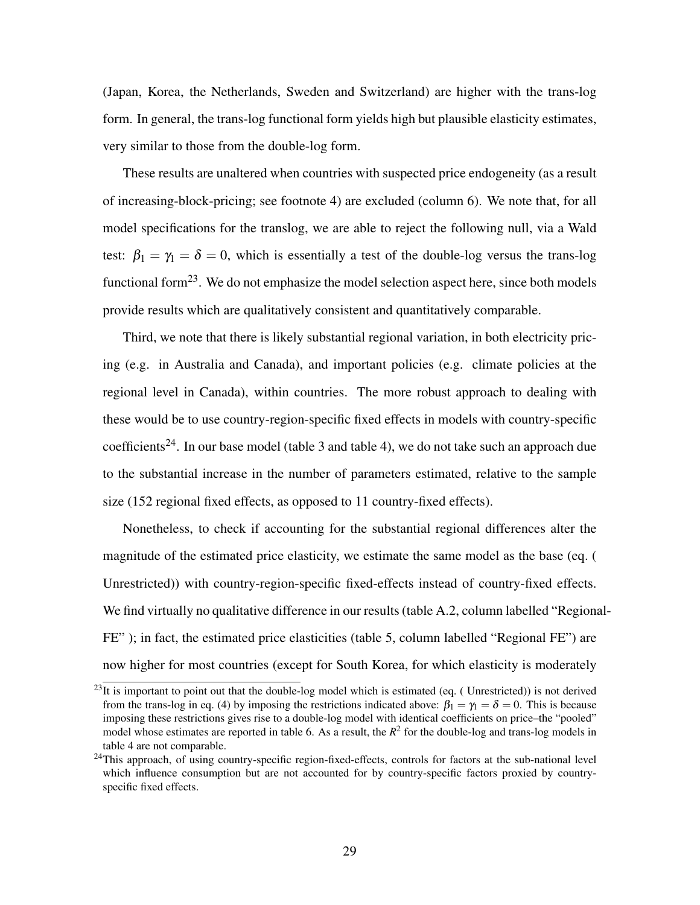(Japan, Korea, the Netherlands, Sweden and Switzerland) are higher with the trans-log form. In general, the trans-log functional form yields high but plausible elasticity estimates, very similar to those from the double-log form.

These results are unaltered when countries with suspected price endogeneity (as a result of increasing-block-pricing; see footnote [4\)](#page-1-1) are excluded (column 6). We note that, for all model specifications for the translog, we are able to reject the following null, via a Wald test:  $\beta_1 = \gamma_1 = \delta = 0$ , which is essentially a test of the double-log versus the trans-log functional form<sup>[23](#page-1-0)</sup>. We do not emphasize the model selection aspect here, since both models provide results which are qualitatively consistent and quantitatively comparable.

Third, we note that there is likely substantial regional variation, in both electricity pricing (e.g. in Australia and Canada), and important policies (e.g. climate policies at the regional level in Canada), within countries. The more robust approach to dealing with these would be to use country-region-specific fixed effects in models with country-specific coefficients<sup>[24](#page-1-0)</sup>. In our base model (table [3](#page-22-0) and table [4\)](#page-23-0), we do not take such an approach due to the substantial increase in the number of parameters estimated, relative to the sample size (152 regional fixed effects, as opposed to 11 country-fixed effects).

Nonetheless, to check if accounting for the substantial regional differences alter the magnitude of the estimated price elasticity, we estimate the same model as the base (eq. [\(](#page-8-0) [Unrestricted\)](#page-8-0)) with country-region-specific fixed-effects instead of country-fixed effects. We find virtually no qualitative difference in our results (table [A.2,](#page-40-0) column labelled "Regional-FE" ); in fact, the estimated price elasticities (table [5,](#page-26-0) column labelled "Regional FE") are now higher for most countries (except for South Korea, for which elasticity is moderately

 $^{23}$ It is important to point out that the double-log model which is estimated (eq. (Unrestricted)) is not derived from the trans-log in eq. [\(4\)](#page-10-0) by imposing the restrictions indicated above:  $\beta_1 = \gamma_1 = \delta = 0$ . This is because imposing these restrictions gives rise to a double-log model with identical coefficients on price–the "pooled" model whose estimates are reported in table [6.](#page-27-0) As a result, the  $R^2$  for the double-log and trans-log models in table [4](#page-23-0) are not comparable.

<sup>&</sup>lt;sup>24</sup>This approach, of using country-specific region-fixed-effects, controls for factors at the sub-national level which influence consumption but are not accounted for by country-specific factors proxied by countryspecific fixed effects.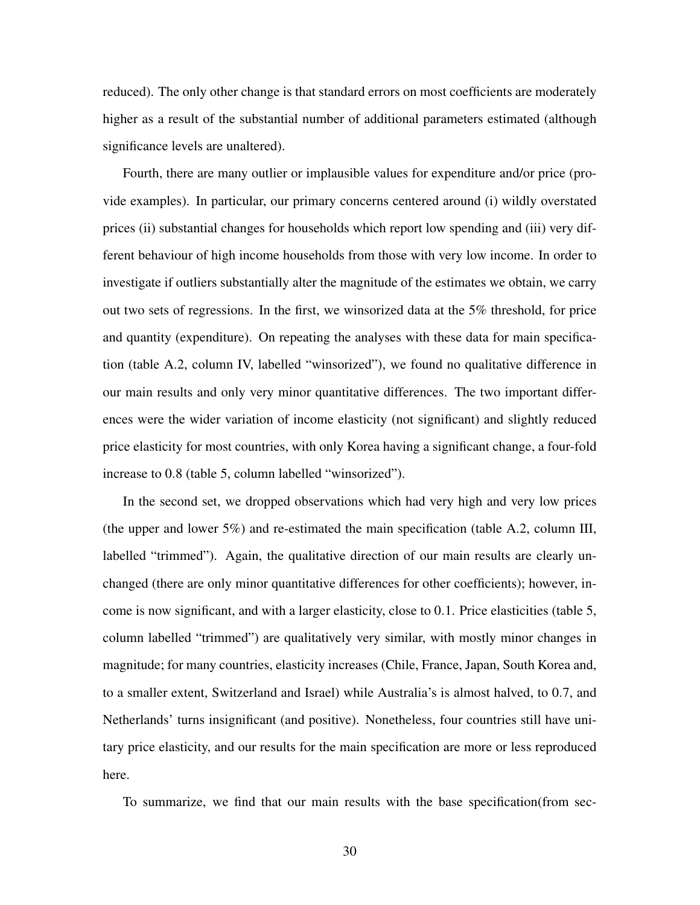reduced). The only other change is that standard errors on most coefficients are moderately higher as a result of the substantial number of additional parameters estimated (although significance levels are unaltered).

Fourth, there are many outlier or implausible values for expenditure and/or price (provide examples). In particular, our primary concerns centered around (i) wildly overstated prices (ii) substantial changes for households which report low spending and (iii) very different behaviour of high income households from those with very low income. In order to investigate if outliers substantially alter the magnitude of the estimates we obtain, we carry out two sets of regressions. In the first, we winsorized data at the 5% threshold, for price and quantity (expenditure). On repeating the analyses with these data for main specification (table [A.2,](#page-40-0) column IV, labelled "winsorized"), we found no qualitative difference in our main results and only very minor quantitative differences. The two important differences were the wider variation of income elasticity (not significant) and slightly reduced price elasticity for most countries, with only Korea having a significant change, a four-fold increase to 0.8 (table [5,](#page-26-0) column labelled "winsorized").

In the second set, we dropped observations which had very high and very low prices (the upper and lower 5%) and re-estimated the main specification (table [A.2,](#page-40-0) column III, labelled "trimmed"). Again, the qualitative direction of our main results are clearly unchanged (there are only minor quantitative differences for other coefficients); however, income is now significant, and with a larger elasticity, close to 0.1. Price elasticities (table [5,](#page-26-0) column labelled "trimmed") are qualitatively very similar, with mostly minor changes in magnitude; for many countries, elasticity increases (Chile, France, Japan, South Korea and, to a smaller extent, Switzerland and Israel) while Australia's is almost halved, to 0.7, and Netherlands' turns insignificant (and positive). Nonetheless, four countries still have unitary price elasticity, and our results for the main specification are more or less reproduced here.

To summarize, we find that our main results with the base specification(from sec-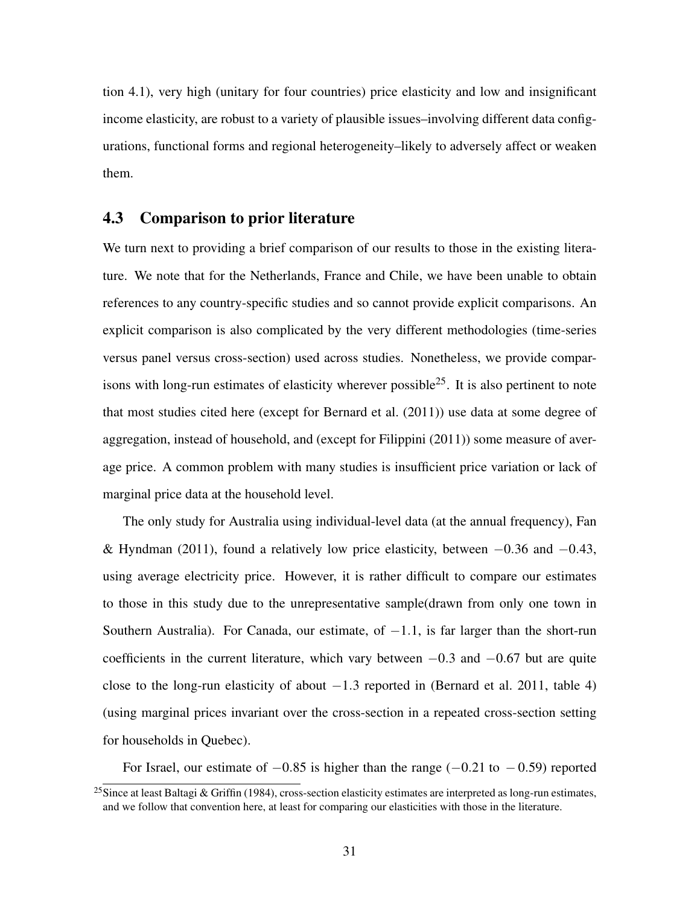tion [4.1\)](#page-20-0), very high (unitary for four countries) price elasticity and low and insignificant income elasticity, are robust to a variety of plausible issues–involving different data configurations, functional forms and regional heterogeneity–likely to adversely affect or weaken them.

#### <span id="page-31-0"></span>4.3 Comparison to prior literature

We turn next to providing a brief comparison of our results to those in the existing literature. We note that for the Netherlands, France and Chile, we have been unable to obtain references to any country-specific studies and so cannot provide explicit comparisons. An explicit comparison is also complicated by the very different methodologies (time-series versus panel versus cross-section) used across studies. Nonetheless, we provide compar-isons with long-run estimates of elasticity wherever possible<sup>[25](#page-1-0)</sup>. It is also pertinent to note that most studies cited here (except for [Bernard et al.](#page-35-6) [\(2011\)](#page-35-6)) use data at some degree of aggregation, instead of household, and (except for [Filippini](#page-36-8) [\(2011\)](#page-36-8)) some measure of average price. A common problem with many studies is insufficient price variation or lack of marginal price data at the household level.

The only study for Australia using individual-level data (at the annual frequency), [Fan](#page-36-9) [& Hyndman](#page-36-9) [\(2011\)](#page-36-9), found a relatively low price elasticity, between  $-0.36$  and  $-0.43$ , using average electricity price. However, it is rather difficult to compare our estimates to those in this study due to the unrepresentative sample(drawn from only one town in Southern Australia). For Canada, our estimate, of  $-1.1$ , is far larger than the short-run coefficients in the current literature, which vary between  $-0.3$  and  $-0.67$  but are quite close to the long-run elasticity of about  $-1.3$  reported in [\(Bernard et al. 2011,](#page-35-6) table 4) (using marginal prices invariant over the cross-section in a repeated cross-section setting for households in Quebec).

For Israel, our estimate of  $-0.85$  is higher than the range ( $-0.21$  to  $-0.59$ ) reported

<sup>&</sup>lt;sup>25</sup>Since at least [Baltagi & Griffin](#page-35-7) [\(1984\)](#page-35-7), cross-section elasticity estimates are interpreted as long-run estimates, and we follow that convention here, at least for comparing our elasticities with those in the literature.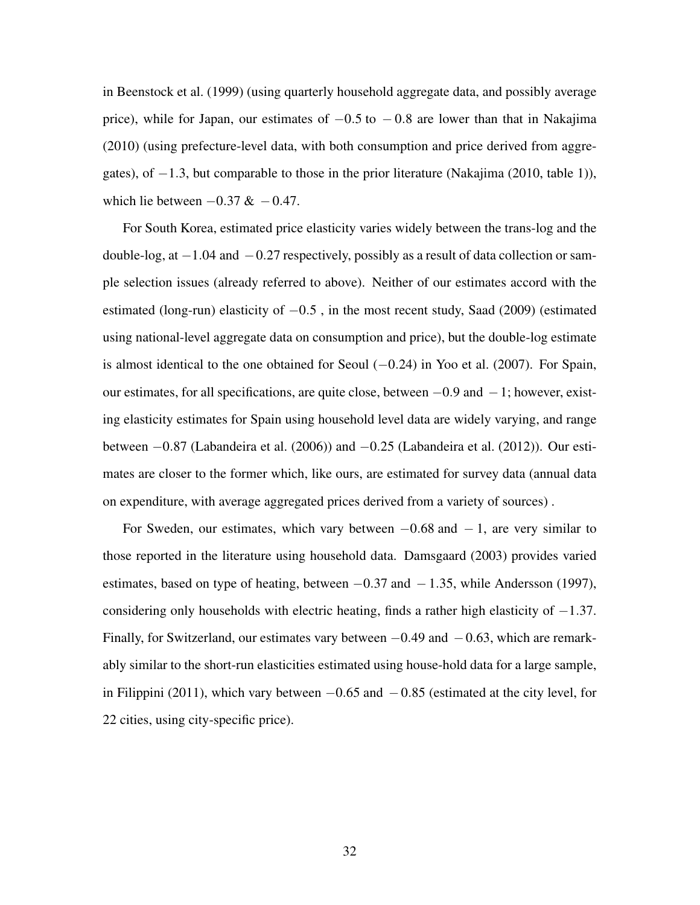in [Beenstock et al.](#page-35-8) [\(1999\)](#page-35-8) (using quarterly household aggregate data, and possibly average price), while for Japan, our estimates of  $-0.5$  to  $-0.8$  are lower than that in [Nakajima](#page-37-10) [\(2010\)](#page-37-10) (using prefecture-level data, with both consumption and price derived from aggregates), of −1.3, but comparable to those in the prior literature [\(Nakajima](#page-37-10) [\(2010,](#page-37-10) table 1)), which lie between  $-0.37 \& -0.47$ .

For South Korea, estimated price elasticity varies widely between the trans-log and the double-log, at  $-1.04$  and  $-0.27$  respectively, possibly as a result of data collection or sample selection issues (already referred to above). Neither of our estimates accord with the estimated (long-run) elasticity of  $-0.5$ , in the most recent study, [Saad](#page-37-11) [\(2009\)](#page-37-11) (estimated using national-level aggregate data on consumption and price), but the double-log estimate is almost identical to the one obtained for Seoul  $(-0.24)$  in [Yoo et al.](#page-38-3) [\(2007\)](#page-38-3). For Spain, our estimates, for all specifications, are quite close, between −0.9 and −1; however, existing elasticity estimates for Spain using household level data are widely varying, and range between −0.87 [\(Labandeira et al.](#page-36-10) [\(2006\)](#page-36-10)) and −0.25 [\(Labandeira et al.](#page-36-11) [\(2012\)](#page-36-11)). Our estimates are closer to the former which, like ours, are estimated for survey data (annual data on expenditure, with average aggregated prices derived from a variety of sources) .

<span id="page-32-0"></span>For Sweden, our estimates, which vary between  $-0.68$  and  $-1$ , are very similar to those reported in the literature using household data. [Damsgaard](#page-35-9) [\(2003\)](#page-35-9) provides varied estimates, based on type of heating, between  $-0.37$  and  $-1.35$ , while [Andersson](#page-35-10) [\(1997\)](#page-35-10), considering only households with electric heating, finds a rather high elasticity of  $-1.37$ . Finally, for Switzerland, our estimates vary between  $-0.49$  and  $-0.63$ , which are remarkably similar to the short-run elasticities estimated using house-hold data for a large sample, in [Filippini](#page-36-8) [\(2011\)](#page-36-8), which vary between  $-0.65$  and  $-0.85$  (estimated at the city level, for 22 cities, using city-specific price).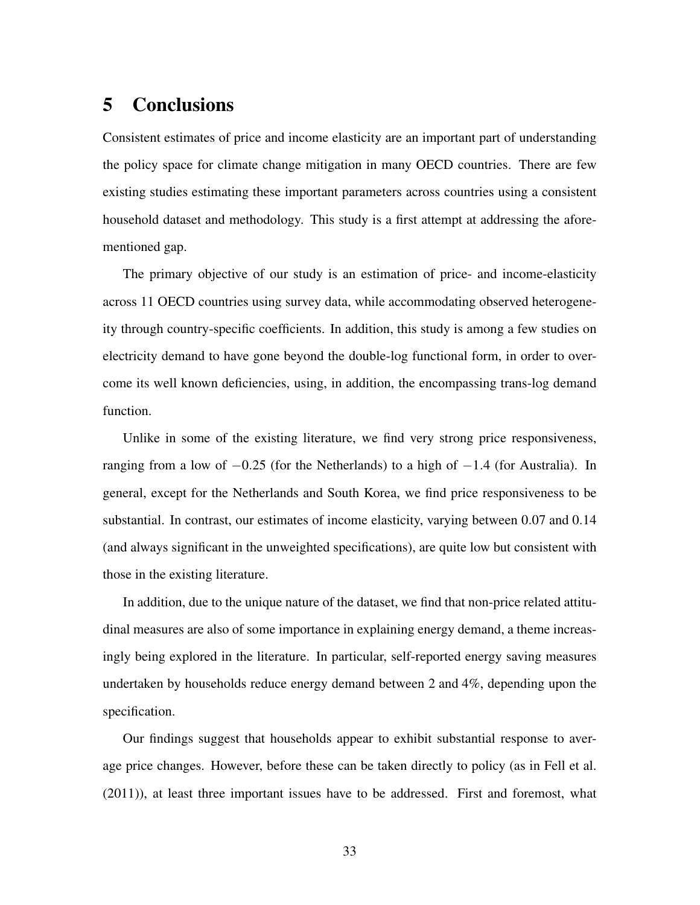# 5 Conclusions

Consistent estimates of price and income elasticity are an important part of understanding the policy space for climate change mitigation in many OECD countries. There are few existing studies estimating these important parameters across countries using a consistent household dataset and methodology. This study is a first attempt at addressing the aforementioned gap.

The primary objective of our study is an estimation of price- and income-elasticity across 11 OECD countries using survey data, while accommodating observed heterogeneity through country-specific coefficients. In addition, this study is among a few studies on electricity demand to have gone beyond the double-log functional form, in order to overcome its well known deficiencies, using, in addition, the encompassing trans-log demand function.

Unlike in some of the existing literature, we find very strong price responsiveness, ranging from a low of  $-0.25$  (for the Netherlands) to a high of  $-1.4$  (for Australia). In general, except for the Netherlands and South Korea, we find price responsiveness to be substantial. In contrast, our estimates of income elasticity, varying between 0.07 and 0.14 (and always significant in the unweighted specifications), are quite low but consistent with those in the existing literature.

In addition, due to the unique nature of the dataset, we find that non-price related attitudinal measures are also of some importance in explaining energy demand, a theme increasingly being explored in the literature. In particular, self-reported energy saving measures undertaken by households reduce energy demand between 2 and 4%, depending upon the specification.

Our findings suggest that households appear to exhibit substantial response to average price changes. However, before these can be taken directly to policy (as in [Fell et al.](#page-36-0) [\(2011\)](#page-36-0)), at least three important issues have to be addressed. First and foremost, what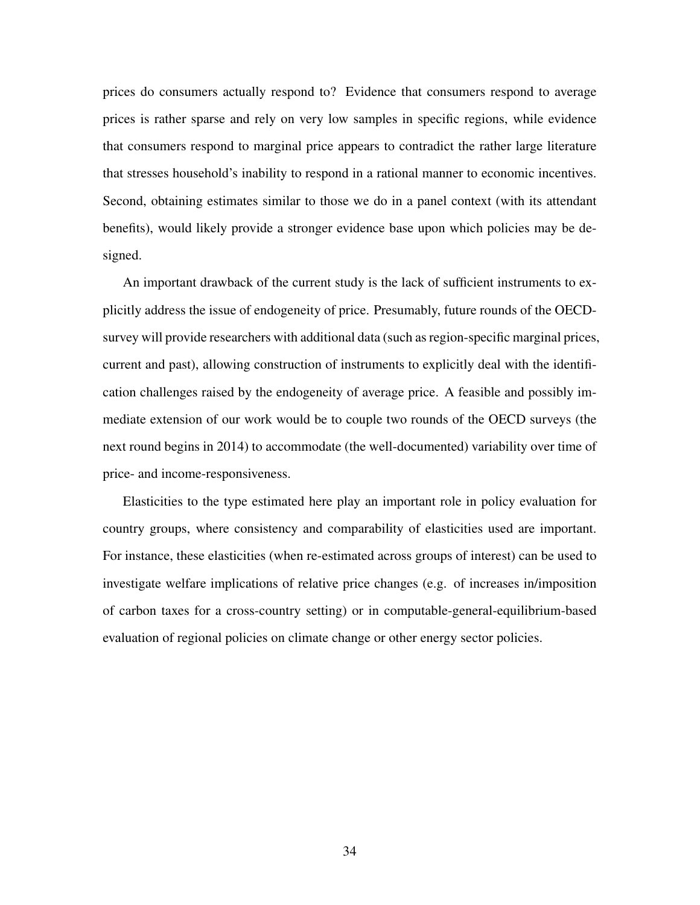prices do consumers actually respond to? Evidence that consumers respond to average prices is rather sparse and rely on very low samples in specific regions, while evidence that consumers respond to marginal price appears to contradict the rather large literature that stresses household's inability to respond in a rational manner to economic incentives. Second, obtaining estimates similar to those we do in a panel context (with its attendant benefits), would likely provide a stronger evidence base upon which policies may be designed.

An important drawback of the current study is the lack of sufficient instruments to explicitly address the issue of endogeneity of price. Presumably, future rounds of the OECDsurvey will provide researchers with additional data (such as region-specific marginal prices, current and past), allowing construction of instruments to explicitly deal with the identification challenges raised by the endogeneity of average price. A feasible and possibly immediate extension of our work would be to couple two rounds of the OECD surveys (the next round begins in 2014) to accommodate (the well-documented) variability over time of price- and income-responsiveness.

Elasticities to the type estimated here play an important role in policy evaluation for country groups, where consistency and comparability of elasticities used are important. For instance, these elasticities (when re-estimated across groups of interest) can be used to investigate welfare implications of relative price changes (e.g. of increases in/imposition of carbon taxes for a cross-country setting) or in computable-general-equilibrium-based evaluation of regional policies on climate change or other energy sector policies.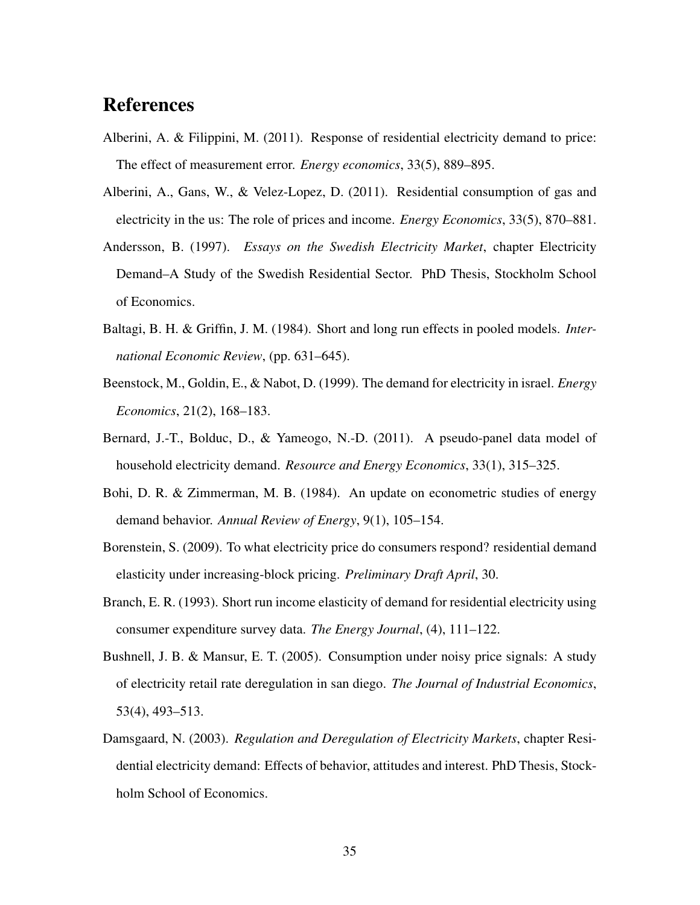# <span id="page-35-1"></span>References

- Alberini, A. & Filippini, M. (2011). Response of residential electricity demand to price: The effect of measurement error. *Energy economics*, 33(5), 889–895.
- <span id="page-35-0"></span>Alberini, A., Gans, W., & Velez-Lopez, D. (2011). Residential consumption of gas and electricity in the us: The role of prices and income. *Energy Economics*, 33(5), 870–881.
- <span id="page-35-10"></span>Andersson, B. (1997). *Essays on the Swedish Electricity Market*, chapter Electricity Demand–A Study of the Swedish Residential Sector. PhD Thesis, Stockholm School of Economics.
- <span id="page-35-7"></span>Baltagi, B. H. & Griffin, J. M. (1984). Short and long run effects in pooled models. *International Economic Review*, (pp. 631–645).
- <span id="page-35-8"></span>Beenstock, M., Goldin, E., & Nabot, D. (1999). The demand for electricity in israel. *Energy Economics*, 21(2), 168–183.
- <span id="page-35-6"></span>Bernard, J.-T., Bolduc, D., & Yameogo, N.-D. (2011). A pseudo-panel data model of household electricity demand. *Resource and Energy Economics*, 33(1), 315–325.
- <span id="page-35-5"></span>Bohi, D. R. & Zimmerman, M. B. (1984). An update on econometric studies of energy demand behavior. *Annual Review of Energy*, 9(1), 105–154.
- <span id="page-35-2"></span>Borenstein, S. (2009). To what electricity price do consumers respond? residential demand elasticity under increasing-block pricing. *Preliminary Draft April*, 30.
- <span id="page-35-4"></span>Branch, E. R. (1993). Short run income elasticity of demand for residential electricity using consumer expenditure survey data. *The Energy Journal*, (4), 111–122.
- <span id="page-35-3"></span>Bushnell, J. B. & Mansur, E. T. (2005). Consumption under noisy price signals: A study of electricity retail rate deregulation in san diego. *The Journal of Industrial Economics*, 53(4), 493–513.
- <span id="page-35-9"></span>Damsgaard, N. (2003). *Regulation and Deregulation of Electricity Markets*, chapter Residential electricity demand: Effects of behavior, attitudes and interest. PhD Thesis, Stockholm School of Economics.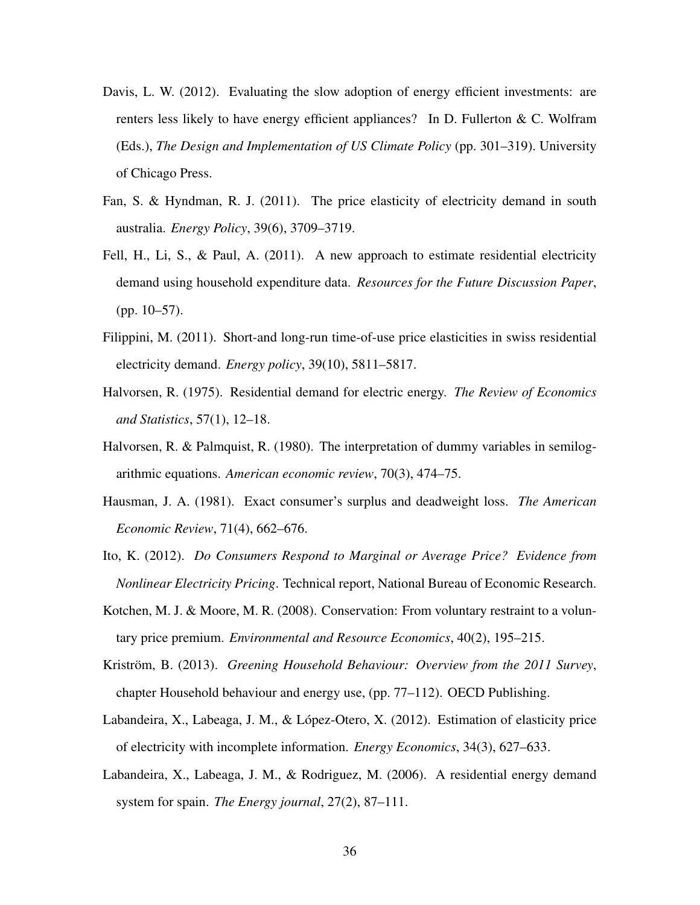- <span id="page-36-6"></span>Davis, L. W. (2012). Evaluating the slow adoption of energy efficient investments: are renters less likely to have energy efficient appliances? In D. Fullerton & C. Wolfram (Eds.), *The Design and Implementation of US Climate Policy* (pp. 301–319). University of Chicago Press.
- <span id="page-36-9"></span>Fan, S. & Hyndman, R. J. (2011). The price elasticity of electricity demand in south australia. *Energy Policy*, 39(6), 3709–3719.
- <span id="page-36-0"></span>Fell, H., Li, S., & Paul, A. (2011). A new approach to estimate residential electricity demand using household expenditure data. *Resources for the Future Discussion Paper*, (pp. 10–57).
- <span id="page-36-8"></span>Filippini, M. (2011). Short-and long-run time-of-use price elasticities in swiss residential electricity demand. *Energy policy*, 39(10), 5811–5817.
- <span id="page-36-4"></span>Halvorsen, R. (1975). Residential demand for electric energy. *The Review of Economics and Statistics*, 57(1), 12–18.
- <span id="page-36-7"></span>Halvorsen, R. & Palmquist, R. (1980). The interpretation of dummy variables in semilogarithmic equations. *American economic review*, 70(3), 474–75.
- <span id="page-36-3"></span>Hausman, J. A. (1981). Exact consumer's surplus and deadweight loss. *The American Economic Review*, 71(4), 662–676.
- <span id="page-36-2"></span>Ito, K. (2012). *Do Consumers Respond to Marginal or Average Price? Evidence from Nonlinear Electricity Pricing*. Technical report, National Bureau of Economic Research.
- <span id="page-36-5"></span>Kotchen, M. J. & Moore, M. R. (2008). Conservation: From voluntary restraint to a voluntary price premium. *Environmental and Resource Economics*, 40(2), 195–215.
- <span id="page-36-1"></span>Kriström, B. (2013). *Greening Household Behaviour: Overview from the 2011 Survey*, chapter Household behaviour and energy use, (pp. 77–112). OECD Publishing.
- <span id="page-36-11"></span>Labandeira, X., Labeaga, J. M., & López-Otero, X. (2012). Estimation of elasticity price of electricity with incomplete information. *Energy Economics*, 34(3), 627–633.
- <span id="page-36-10"></span>Labandeira, X., Labeaga, J. M., & Rodriguez, M. (2006). A residential energy demand system for spain. *The Energy journal*, 27(2), 87–111.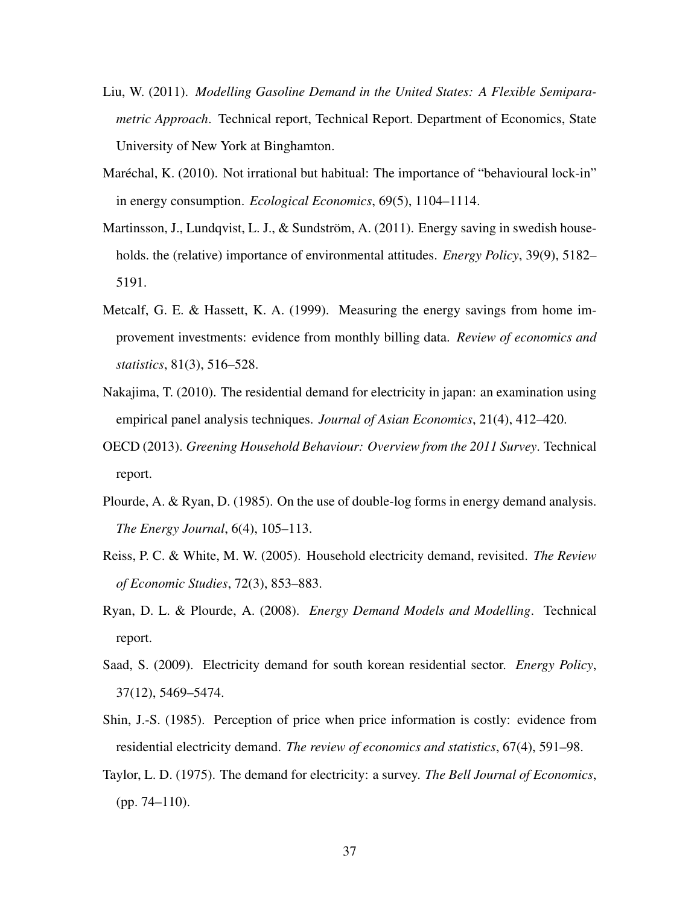- <span id="page-37-5"></span>Liu, W. (2011). *Modelling Gasoline Demand in the United States: A Flexible Semiparametric Approach*. Technical report, Technical Report. Department of Economics, State University of New York at Binghamton.
- <span id="page-37-8"></span>Maréchal, K. (2010). Not irrational but habitual: The importance of "behavioural lock-in" in energy consumption. *Ecological Economics*, 69(5), 1104–1114.
- <span id="page-37-7"></span>Martinsson, J., Lundqvist, L. J., & Sundström, A. (2011). Energy saving in swedish households. the (relative) importance of environmental attitudes. *Energy Policy*, 39(9), 5182– 5191.
- <span id="page-37-0"></span>Metcalf, G. E. & Hassett, K. A. (1999). Measuring the energy savings from home improvement investments: evidence from monthly billing data. *Review of economics and statistics*, 81(3), 516–528.
- <span id="page-37-10"></span>Nakajima, T. (2010). The residential demand for electricity in japan: an examination using empirical panel analysis techniques. *Journal of Asian Economics*, 21(4), 412–420.
- <span id="page-37-6"></span>OECD (2013). *Greening Household Behaviour: Overview from the 2011 Survey*. Technical report.
- <span id="page-37-3"></span>Plourde, A. & Ryan, D. (1985). On the use of double-log forms in energy demand analysis. *The Energy Journal*, 6(4), 105–113.
- <span id="page-37-4"></span>Reiss, P. C. & White, M. W. (2005). Household electricity demand, revisited. *The Review of Economic Studies*, 72(3), 853–883.
- <span id="page-37-9"></span>Ryan, D. L. & Plourde, A. (2008). *Energy Demand Models and Modelling*. Technical report.
- <span id="page-37-11"></span>Saad, S. (2009). Electricity demand for south korean residential sector. *Energy Policy*, 37(12), 5469–5474.
- <span id="page-37-2"></span>Shin, J.-S. (1985). Perception of price when price information is costly: evidence from residential electricity demand. *The review of economics and statistics*, 67(4), 591–98.
- <span id="page-37-1"></span>Taylor, L. D. (1975). The demand for electricity: a survey. *The Bell Journal of Economics*, (pp. 74–110).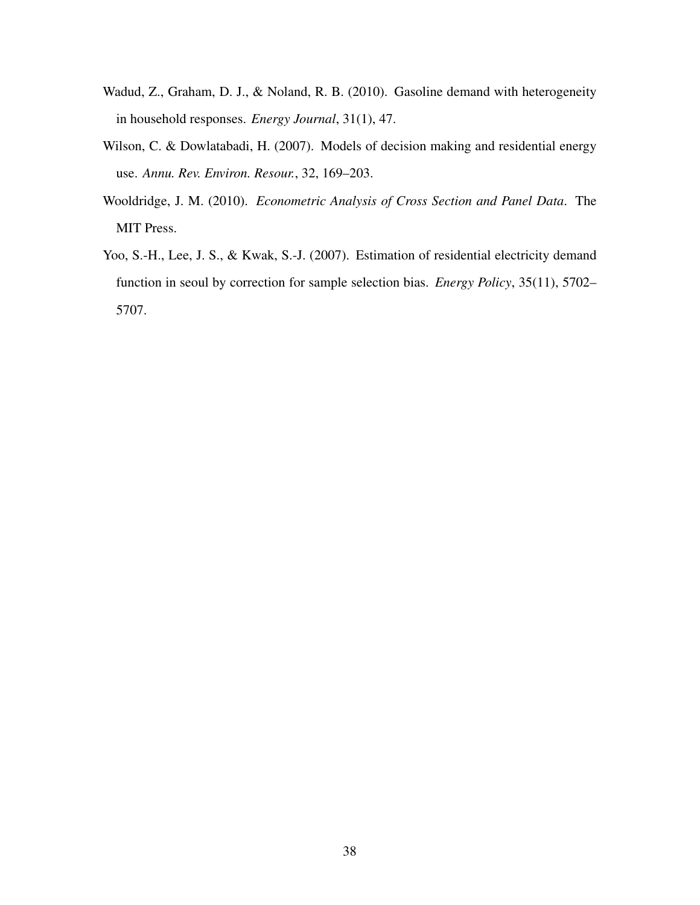- <span id="page-38-0"></span>Wadud, Z., Graham, D. J., & Noland, R. B. (2010). Gasoline demand with heterogeneity in household responses. *Energy Journal*, 31(1), 47.
- <span id="page-38-2"></span>Wilson, C. & Dowlatabadi, H. (2007). Models of decision making and residential energy use. *Annu. Rev. Environ. Resour.*, 32, 169–203.
- <span id="page-38-1"></span>Wooldridge, J. M. (2010). *Econometric Analysis of Cross Section and Panel Data*. The MIT Press.
- <span id="page-38-3"></span>Yoo, S.-H., Lee, J. S., & Kwak, S.-J. (2007). Estimation of residential electricity demand function in seoul by correction for sample selection bias. *Energy Policy*, 35(11), 5702– 5707.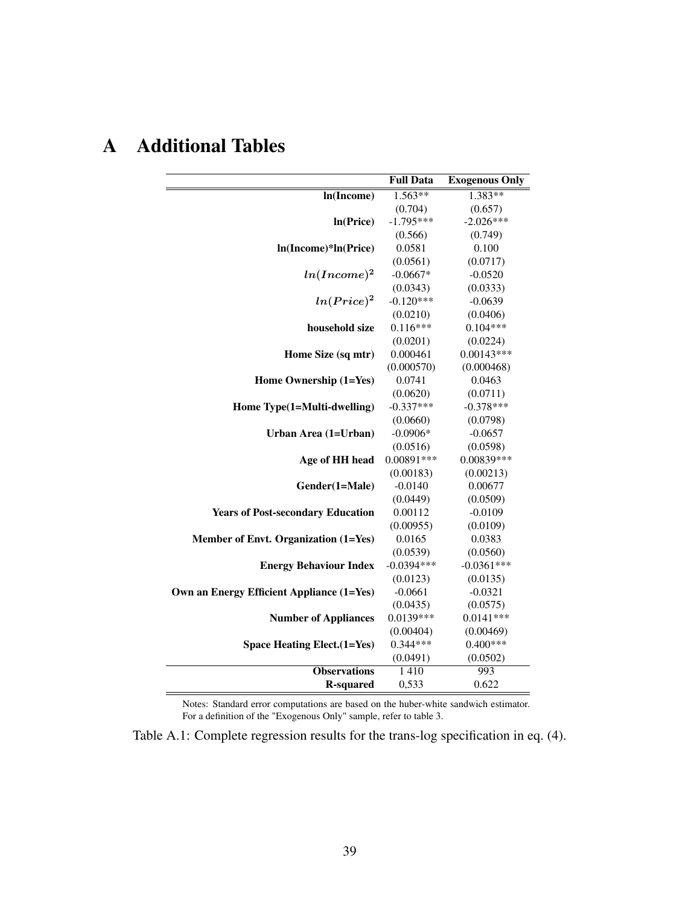|                                           | <b>Full Data</b> | <b>Exogenous Only</b> |
|-------------------------------------------|------------------|-----------------------|
| In(Income)                                | $1.563**$        | $1.383**$             |
|                                           | (0.704)          | (0.657)               |
| In(Price)                                 | $-1.795***$      | $-2.026***$           |
|                                           | (0.566)          | (0.749)               |
| ln(Income)*ln(Price)                      | 0.0581           | 0.100                 |
|                                           | (0.0561)         | (0.0717)              |
| $ln(Income)^2$                            | $-0.0667*$       | $-0.0520$             |
|                                           | (0.0343)         | (0.0333)              |
| $ln(Price)^2$                             | $-0.120***$      | $-0.0639$             |
|                                           | (0.0210)         | (0.0406)              |
| household size                            | $0.116***$       | $0.104***$            |
|                                           | (0.0201)         | (0.0224)              |
| Home Size (sq mtr)                        | 0.000461         | $0.00143***$          |
|                                           | (0.000570)       | (0.000468)            |
| Home Ownership (1=Yes)                    | 0.0741           | 0.0463                |
|                                           | (0.0620)         | (0.0711)              |
| Home Type(1=Multi-dwelling)               | $-0.337***$      | $-0.378***$           |
|                                           | (0.0660)         | (0.0798)              |
| Urban Area (1=Urban)                      | $-0.0906*$       | $-0.0657$             |
|                                           | (0.0516)         | (0.0598)              |
| Age of HH head                            | 0.00891 ***      | 0.00839 ***           |
|                                           | (0.00183)        | (0.00213)             |
| Gender(1=Male)                            | $-0.0140$        | 0.00677               |
|                                           | (0.0449)         | (0.0509)              |
| <b>Years of Post-secondary Education</b>  | 0.00112          | $-0.0109$             |
|                                           | (0.00955)        | (0.0109)              |
| Member of Envt. Organization (1=Yes)      | 0.0165           | 0.0383                |
|                                           | (0.0539)         | (0.0560)              |
| <b>Energy Behaviour Index</b>             | $-0.0394***$     | $-0.0361***$          |
|                                           | (0.0123)         | (0.0135)              |
| Own an Energy Efficient Appliance (1=Yes) | $-0.0661$        | $-0.0321$             |
|                                           | (0.0435)         | (0.0575)              |
| <b>Number of Appliances</b>               | $0.0139***$      | $0.0141***$           |
|                                           | (0.00404)        | (0.00469)             |
| <b>Space Heating Elect.(1=Yes)</b>        | $0.344***$       | $0.400***$            |
|                                           | (0.0491)         | (0.0502)              |
| <b>Observations</b>                       | 1410             | 993                   |
| <b>R-squared</b>                          | 0,533            | 0.622                 |

# <span id="page-39-0"></span>A Additional Tables

Notes: Standard error computations are based on the huber-white sandwich estimator. For a definition of the "Exogenous Only" sample, refer to table [3.](#page-22-0)

Table A.1: Complete regression results for the trans-log specification in eq. [\(4\)](#page-10-0).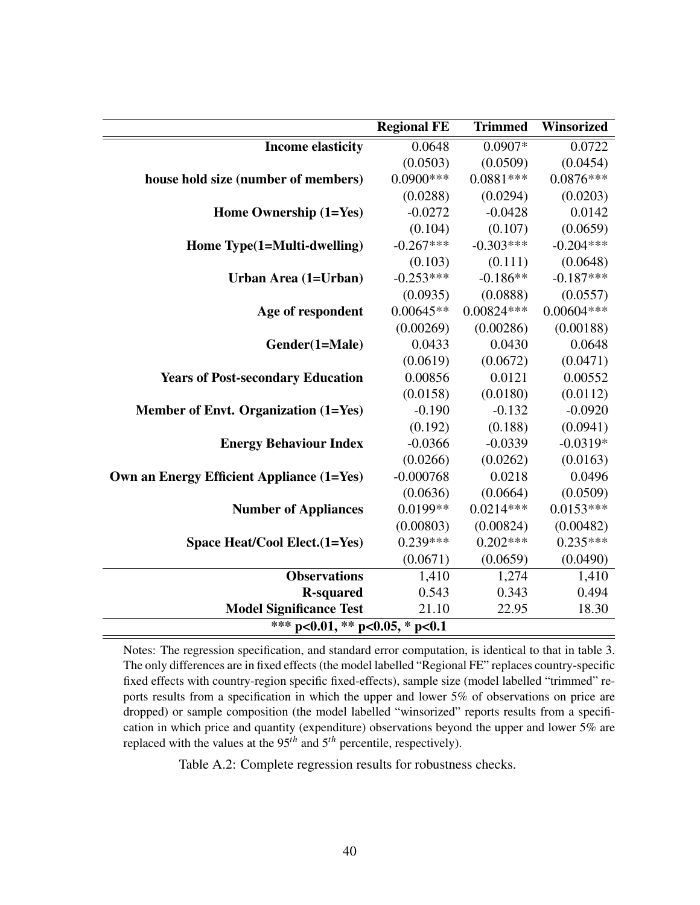<span id="page-40-0"></span>

|                                                  | <b>Regional FE</b> | <b>Trimmed</b> | Winsorized   |
|--------------------------------------------------|--------------------|----------------|--------------|
| <b>Income elasticity</b>                         | 0.0648             | $0.0907*$      | 0.0722       |
|                                                  | (0.0503)           | (0.0509)       | (0.0454)     |
| house hold size (number of members)              | $0.0900$ ***       | $0.0881***$    | $0.0876***$  |
|                                                  | (0.0288)           | (0.0294)       | (0.0203)     |
| Home Ownership (1=Yes)                           | $-0.0272$          | $-0.0428$      | 0.0142       |
|                                                  | (0.104)            | (0.107)        | (0.0659)     |
| Home Type(1=Multi-dwelling)                      | $-0.267***$        | $-0.303***$    | $-0.204***$  |
|                                                  | (0.103)            | (0.111)        | (0.0648)     |
| Urban Area (1=Urban)                             | $-0.253***$        | $-0.186**$     | $-0.187***$  |
|                                                  | (0.0935)           | (0.0888)       | (0.0557)     |
| Age of respondent                                | $0.00645**$        | $0.00824***$   | $0.00604***$ |
|                                                  | (0.00269)          | (0.00286)      | (0.00188)    |
| Gender(1=Male)                                   | 0.0433             | 0.0430         | 0.0648       |
|                                                  | (0.0619)           | (0.0672)       | (0.0471)     |
| <b>Years of Post-secondary Education</b>         | 0.00856            | 0.0121         | 0.00552      |
|                                                  | (0.0158)           | (0.0180)       | (0.0112)     |
| Member of Envt. Organization (1=Yes)             | $-0.190$           | $-0.132$       | $-0.0920$    |
|                                                  | (0.192)            | (0.188)        | (0.0941)     |
| <b>Energy Behaviour Index</b>                    | $-0.0366$          | $-0.0339$      | $-0.0319*$   |
|                                                  | (0.0266)           | (0.0262)       | (0.0163)     |
| <b>Own an Energy Efficient Appliance (1=Yes)</b> | $-0.000768$        | 0.0218         | 0.0496       |
|                                                  | (0.0636)           | (0.0664)       | (0.0509)     |
| <b>Number of Appliances</b>                      | $0.0199**$         | $0.0214***$    | $0.0153***$  |
|                                                  | (0.00803)          | (0.00824)      | (0.00482)    |
| Space Heat/Cool Elect. (1=Yes)                   | $0.239***$         | $0.202***$     | $0.235***$   |
|                                                  | (0.0671)           | (0.0659)       | (0.0490)     |
| <b>Observations</b>                              | 1,410              | 1,274          | 1,410        |
| <b>R-squared</b>                                 | 0.543              | 0.343          | 0.494        |
| <b>Model Significance Test</b>                   | 21.10              | 22.95          | 18.30        |
| *** p<0.01, ** p<0.05, * p<0.1                   |                    |                |              |

Notes: The regression specification, and standard error computation, is identical to that in table [3.](#page-22-0) The only differences are in fixed effects (the model labelled "Regional FE" replaces country-specific fixed effects with country-region specific fixed-effects), sample size (model labelled "trimmed" reports results from a specification in which the upper and lower 5% of observations on price are dropped) or sample composition (the model labelled "winsorized" reports results from a specification in which price and quantity (expenditure) observations beyond the upper and lower 5% are replaced with the values at the 95*th* and 5*th* percentile, respectively).

Table A.2: Complete regression results for robustness checks.